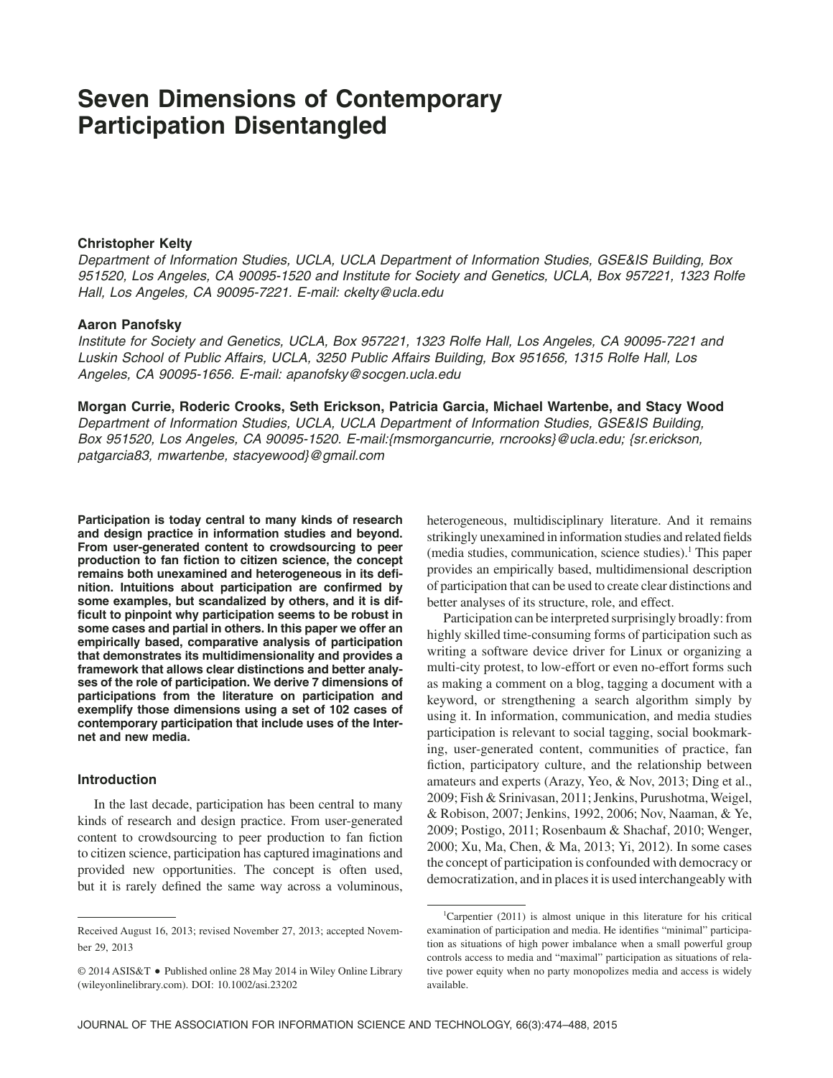# **Seven Dimensions of Contemporary Participation Disentangled**

## **Christopher Kelty**

*Department of Information Studies, UCLA, UCLA Department of Information Studies, GSE&IS Building, Box 951520, Los Angeles, CA 90095-1520 and Institute for Society and Genetics, UCLA, Box 957221, 1323 Rolfe Hall, Los Angeles, CA 90095-7221. E-mail: [ckelty@ucla.edu](mailto:ckelty@ucla.edu)*

#### **Aaron Panofsky**

*Institute for Society and Genetics, UCLA, Box 957221, 1323 Rolfe Hall, Los Angeles, CA 90095-7221 and Luskin School of Public Affairs, UCLA, 3250 Public Affairs Building, Box 951656, 1315 Rolfe Hall, Los Angeles, CA 90095-1656. E-mail: [apanofsky@socgen.ucla.edu](mailto:apanofsky@socgen.ucla.edu)*

**Morgan Currie, Roderic Crooks, Seth Erickson, Patricia Garcia, Michael Wartenbe, and Stacy Wood** *Department of Information Studies, UCLA, UCLA Department of Information Studies, GSE&IS Building, Box 951520, Los Angeles, CA 90095-1520. E-mail[:{msmorgancurrie, rncrooks}@ucla.edu;](mailto:{msmorgancurrie, rncrooks}@ucla.edu) [{sr.erickson,](mailto:{sr.erickson, patgarcia83, mwartenbe, stacyewood}@gmail.com) [patgarcia83, mwartenbe, stacyewood}@gmail.com](mailto:{sr.erickson, patgarcia83, mwartenbe, stacyewood}@gmail.com)*

**Participation is today central to many kinds of research and design practice in information studies and beyond. From user-generated content to crowdsourcing to peer production to fan fiction to citizen science, the concept remains both unexamined and heterogeneous in its definition. Intuitions about participation are confirmed by some examples, but scandalized by others, and it is difficult to pinpoint why participation seems to be robust in some cases and partial in others. In this paper we offer an empirically based, comparative analysis of participation that demonstrates its multidimensionality and provides a framework that allows clear distinctions and better analyses of the role of participation. We derive 7 dimensions of participations from the literature on participation and exemplify those dimensions using a set of 102 cases of contemporary participation that include uses of the Internet and new media.**

#### **Introduction**

In the last decade, participation has been central to many kinds of research and design practice. From user-generated content to crowdsourcing to peer production to fan fiction to citizen science, participation has captured imaginations and provided new opportunities. The concept is often used, but it is rarely defined the same way across a voluminous, heterogeneous, multidisciplinary literature. And it remains strikingly unexamined in information studies and related fields (media studies, communication, science studies). $<sup>1</sup>$  This paper</sup> provides an empirically based, multidimensional description of participation that can be used to create clear distinctions and better analyses of its structure, role, and effect.

Participation can be interpreted surprisingly broadly: from highly skilled time-consuming forms of participation such as writing a software device driver for Linux or organizing a multi-city protest, to low-effort or even no-effort forms such as making a comment on a blog, tagging a document with a keyword, or strengthening a search algorithm simply by using it. In information, communication, and media studies participation is relevant to social tagging, social bookmarking, user-generated content, communities of practice, fan fiction, participatory culture, and the relationship between amateurs and experts (Arazy, Yeo, & Nov, 2013; Ding et al., 2009; Fish & Srinivasan, 2011; Jenkins, Purushotma, Weigel, & Robison, 2007; Jenkins, 1992, 2006; Nov, Naaman, & Ye, 2009; Postigo, 2011; Rosenbaum & Shachaf, 2010; Wenger, 2000; Xu, Ma, Chen, & Ma, 2013; Yi, 2012). In some cases the concept of participation is confounded with democracy or democratization, and in places it is used interchangeably with

Received August 16, 2013; revised November 27, 2013; accepted November 29, 2013

<sup>© 2014</sup> ASIS&T • Published online 28 May 2014 in Wiley Online Library [\(wileyonlinelibrary.com\)](http://wileyonlinelibrary.com). DOI: 10.1002/asi.23202

<sup>&</sup>lt;sup>1</sup>Carpentier (2011) is almost unique in this literature for his critical examination of participation and media. He identifies "minimal" participation as situations of high power imbalance when a small powerful group controls access to media and "maximal" participation as situations of relative power equity when no party monopolizes media and access is widely available.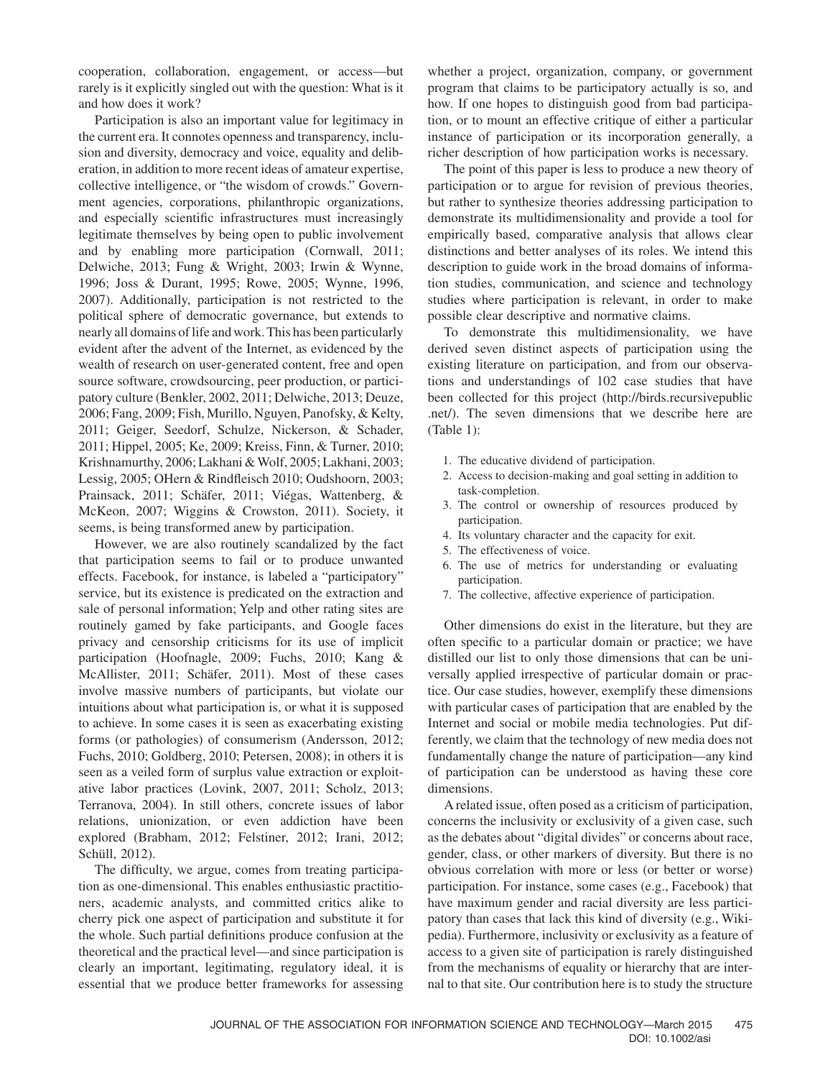cooperation, collaboration, engagement, or access—but rarely is it explicitly singled out with the question: What is it and how does it work?

Participation is also an important value for legitimacy in the current era. It connotes openness and transparency, inclusion and diversity, democracy and voice, equality and deliberation, in addition to more recent ideas of amateur expertise, collective intelligence, or "the wisdom of crowds." Government agencies, corporations, philanthropic organizations, and especially scientific infrastructures must increasingly legitimate themselves by being open to public involvement and by enabling more participation (Cornwall, 2011; Delwiche, 2013; Fung & Wright, 2003; Irwin & Wynne, 1996; Joss & Durant, 1995; Rowe, 2005; Wynne, 1996, 2007). Additionally, participation is not restricted to the political sphere of democratic governance, but extends to nearly all domains of life and work. This has been particularly evident after the advent of the Internet, as evidenced by the wealth of research on user-generated content, free and open source software, crowdsourcing, peer production, or participatory culture (Benkler, 2002, 2011; Delwiche, 2013; Deuze, 2006; Fang, 2009; Fish, Murillo, Nguyen, Panofsky, & Kelty, 2011; Geiger, Seedorf, Schulze, Nickerson, & Schader, 2011; Hippel, 2005; Ke, 2009; Kreiss, Finn, & Turner, 2010; Krishnamurthy, 2006; Lakhani & Wolf, 2005; Lakhani, 2003; Lessig, 2005; OHern & Rindfleisch 2010; Oudshoorn, 2003; Prainsack, 2011; Schäfer, 2011; Viégas, Wattenberg, & McKeon, 2007; Wiggins & Crowston, 2011). Society, it seems, is being transformed anew by participation.

However, we are also routinely scandalized by the fact that participation seems to fail or to produce unwanted effects. Facebook, for instance, is labeled a "participatory" service, but its existence is predicated on the extraction and sale of personal information; Yelp and other rating sites are routinely gamed by fake participants, and Google faces privacy and censorship criticisms for its use of implicit participation (Hoofnagle, 2009; Fuchs, 2010; Kang & McAllister, 2011; Schäfer, 2011). Most of these cases involve massive numbers of participants, but violate our intuitions about what participation is, or what it is supposed to achieve. In some cases it is seen as exacerbating existing forms (or pathologies) of consumerism (Andersson, 2012; Fuchs, 2010; Goldberg, 2010; Petersen, 2008); in others it is seen as a veiled form of surplus value extraction or exploitative labor practices (Lovink, 2007, 2011; Scholz, 2013; Terranova, 2004). In still others, concrete issues of labor relations, unionization, or even addiction have been explored (Brabham, 2012; Felstiner, 2012; Irani, 2012; Schüll, 2012).

The difficulty, we argue, comes from treating participation as one-dimensional. This enables enthusiastic practitioners, academic analysts, and committed critics alike to cherry pick one aspect of participation and substitute it for the whole. Such partial definitions produce confusion at the theoretical and the practical level—and since participation is clearly an important, legitimating, regulatory ideal, it is essential that we produce better frameworks for assessing whether a project, organization, company, or government program that claims to be participatory actually is so, and how. If one hopes to distinguish good from bad participation, or to mount an effective critique of either a particular instance of participation or its incorporation generally, a richer description of how participation works is necessary.

The point of this paper is less to produce a new theory of participation or to argue for revision of previous theories, but rather to synthesize theories addressing participation to demonstrate its multidimensionality and provide a tool for empirically based, comparative analysis that allows clear distinctions and better analyses of its roles. We intend this description to guide work in the broad domains of information studies, communication, and science and technology studies where participation is relevant, in order to make possible clear descriptive and normative claims.

To demonstrate this multidimensionality, we have derived seven distinct aspects of participation using the existing literature on participation, and from our observations and understandings of 102 case studies that have been collected for this project [\(http://birds.recursivepublic](http://birds.recursivepublic.net/) [.net/\)](http://birds.recursivepublic.net/). The seven dimensions that we describe here are (Table 1):

- 1. The educative dividend of participation.
- 2. Access to decision-making and goal setting in addition to task-completion.
- 3. The control or ownership of resources produced by participation.
- 4. Its voluntary character and the capacity for exit.
- 5. The effectiveness of voice.
- 6. The use of metrics for understanding or evaluating participation.
- 7. The collective, affective experience of participation.

Other dimensions do exist in the literature, but they are often specific to a particular domain or practice; we have distilled our list to only those dimensions that can be universally applied irrespective of particular domain or practice. Our case studies, however, exemplify these dimensions with particular cases of participation that are enabled by the Internet and social or mobile media technologies. Put differently, we claim that the technology of new media does not fundamentally change the nature of participation—any kind of participation can be understood as having these core dimensions.

A related issue, often posed as a criticism of participation, concerns the inclusivity or exclusivity of a given case, such as the debates about "digital divides" or concerns about race, gender, class, or other markers of diversity. But there is no obvious correlation with more or less (or better or worse) participation. For instance, some cases (e.g., Facebook) that have maximum gender and racial diversity are less participatory than cases that lack this kind of diversity (e.g., Wikipedia). Furthermore, inclusivity or exclusivity as a feature of access to a given site of participation is rarely distinguished from the mechanisms of equality or hierarchy that are internal to that site. Our contribution here is to study the structure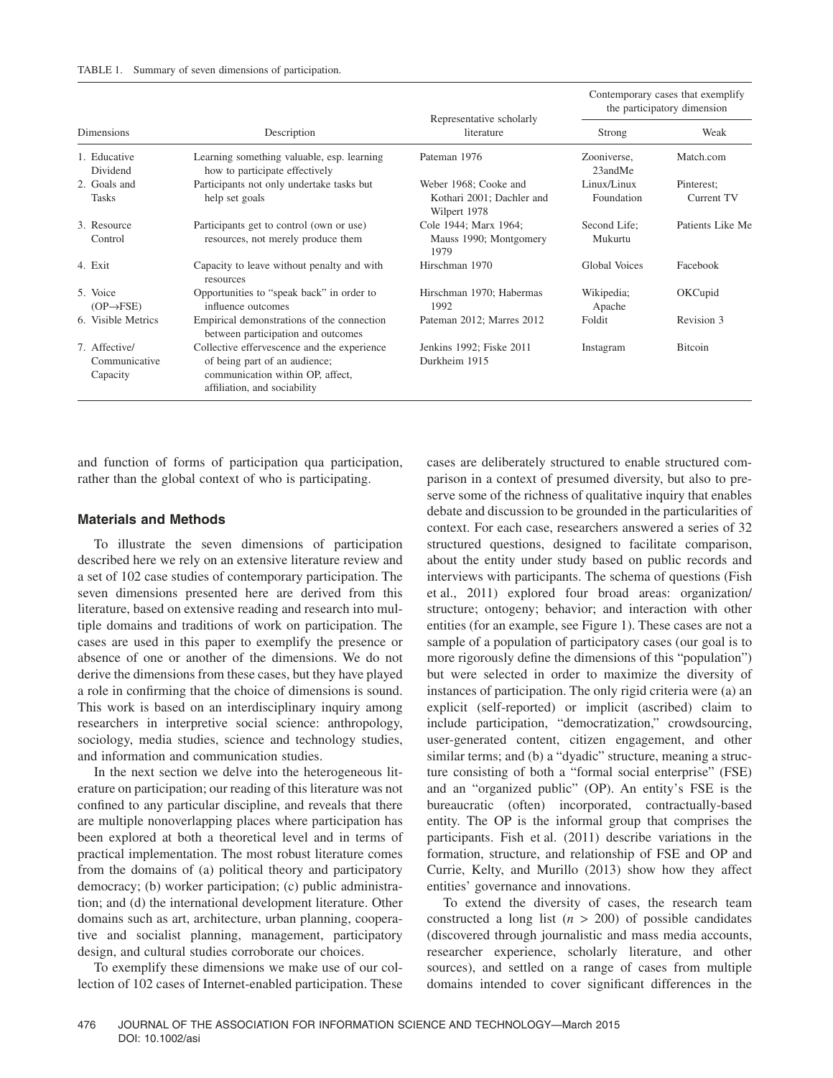|                                            |                                                                                                                                                  | Representative scholarly                                           |                           | Contemporary cases that exemplify<br>the participatory dimension |
|--------------------------------------------|--------------------------------------------------------------------------------------------------------------------------------------------------|--------------------------------------------------------------------|---------------------------|------------------------------------------------------------------|
| Dimensions                                 | Description                                                                                                                                      | literature                                                         | Strong                    | Weak                                                             |
| 1. Educative<br>Dividend                   | Learning something valuable, esp. learning<br>how to participate effectively                                                                     | Pateman 1976                                                       | Zooniverse,<br>23andMe    | Match.com                                                        |
| 2. Goals and<br>Tasks                      | Participants not only undertake tasks but<br>help set goals                                                                                      | Weber 1968; Cooke and<br>Kothari 2001; Dachler and<br>Wilpert 1978 | Linux/Linux<br>Foundation | Pinterest:<br>Current TV                                         |
| 3. Resource<br>Control                     | Participants get to control (own or use)<br>resources, not merely produce them                                                                   | Cole 1944; Marx 1964;<br>Mauss 1990; Montgomery<br>1979            | Second Life;<br>Mukurtu   | Patients Like Me                                                 |
| 4. Exit                                    | Capacity to leave without penalty and with<br>resources                                                                                          | Hirschman 1970                                                     | Global Voices             | Facebook                                                         |
| 5. Voice<br>$(OP \rightarrow FSE)$         | Opportunities to "speak back" in order to<br>influence outcomes                                                                                  | Hirschman 1970; Habermas<br>1992                                   | Wikipedia;<br>Apache      | OKCupid                                                          |
| 6. Visible Metrics                         | Empirical demonstrations of the connection<br>between participation and outcomes                                                                 | Pateman 2012; Marres 2012                                          | Foldit                    | Revision 3                                                       |
| 7. Affective/<br>Communicative<br>Capacity | Collective effervescence and the experience<br>of being part of an audience;<br>communication within OP, affect,<br>affiliation, and sociability | Jenkins 1992; Fiske 2011<br>Durkheim 1915                          | Instagram                 | <b>Bitcoin</b>                                                   |

and function of forms of participation qua participation, rather than the global context of who is participating.

## **Materials and Methods**

To illustrate the seven dimensions of participation described here we rely on an extensive literature review and a set of 102 case studies of contemporary participation. The seven dimensions presented here are derived from this literature, based on extensive reading and research into multiple domains and traditions of work on participation. The cases are used in this paper to exemplify the presence or absence of one or another of the dimensions. We do not derive the dimensions from these cases, but they have played a role in confirming that the choice of dimensions is sound. This work is based on an interdisciplinary inquiry among researchers in interpretive social science: anthropology, sociology, media studies, science and technology studies, and information and communication studies.

In the next section we delve into the heterogeneous literature on participation; our reading of this literature was not confined to any particular discipline, and reveals that there are multiple nonoverlapping places where participation has been explored at both a theoretical level and in terms of practical implementation. The most robust literature comes from the domains of (a) political theory and participatory democracy; (b) worker participation; (c) public administration; and (d) the international development literature. Other domains such as art, architecture, urban planning, cooperative and socialist planning, management, participatory design, and cultural studies corroborate our choices.

To exemplify these dimensions we make use of our collection of 102 cases of Internet-enabled participation. These cases are deliberately structured to enable structured comparison in a context of presumed diversity, but also to preserve some of the richness of qualitative inquiry that enables debate and discussion to be grounded in the particularities of context. For each case, researchers answered a series of 32 structured questions, designed to facilitate comparison, about the entity under study based on public records and interviews with participants. The schema of questions (Fish et al., 2011) explored four broad areas: organization/ structure; ontogeny; behavior; and interaction with other entities (for an example, see Figure 1). These cases are not a sample of a population of participatory cases (our goal is to more rigorously define the dimensions of this "population") but were selected in order to maximize the diversity of instances of participation. The only rigid criteria were (a) an explicit (self-reported) or implicit (ascribed) claim to include participation, "democratization," crowdsourcing, user-generated content, citizen engagement, and other similar terms; and (b) a "dyadic" structure, meaning a structure consisting of both a "formal social enterprise" (FSE) and an "organized public" (OP). An entity's FSE is the bureaucratic (often) incorporated, contractually-based entity. The OP is the informal group that comprises the participants. Fish et al. (2011) describe variations in the formation, structure, and relationship of FSE and OP and Currie, Kelty, and Murillo (2013) show how they affect entities' governance and innovations.

To extend the diversity of cases, the research team constructed a long list  $(n > 200)$  of possible candidates (discovered through journalistic and mass media accounts, researcher experience, scholarly literature, and other sources), and settled on a range of cases from multiple domains intended to cover significant differences in the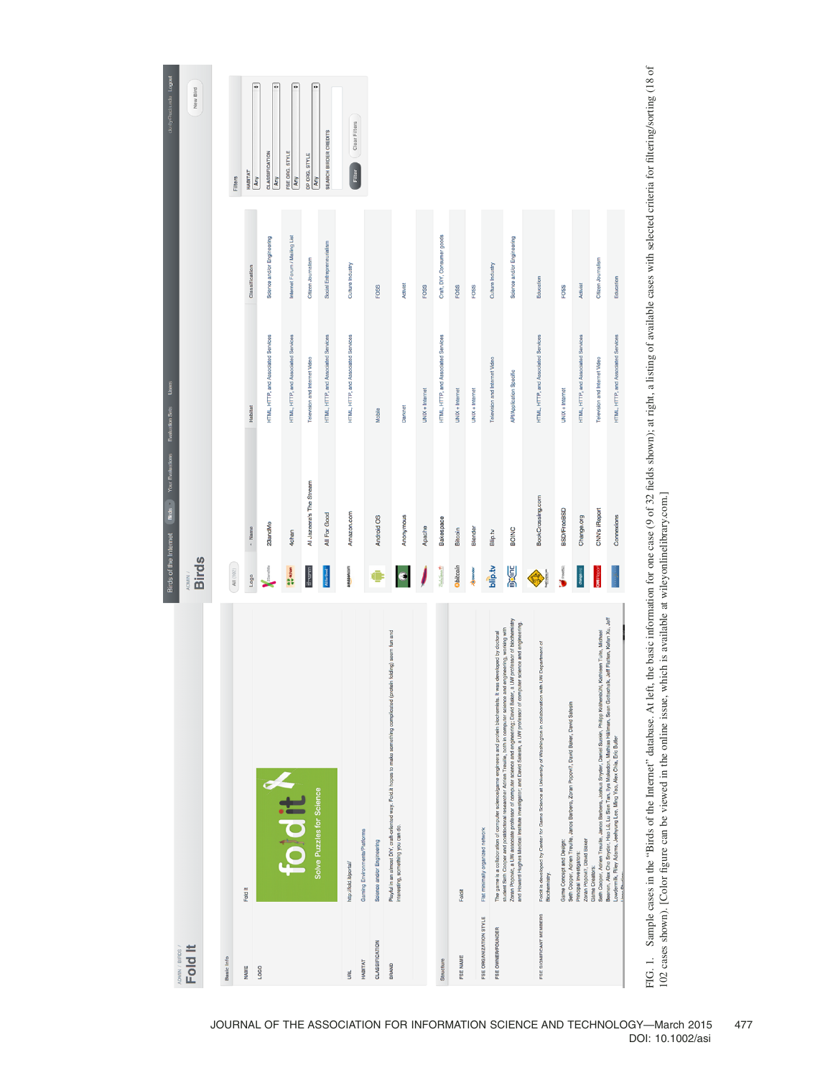|                                             |                                                                                                                                                                                                                                                                                                                                                                                 | Birds of the Internet | Birds Your Evaluations Evaluation Sets Users |                                     |                               | ckelty@ucla.edu Logout  |
|---------------------------------------------|---------------------------------------------------------------------------------------------------------------------------------------------------------------------------------------------------------------------------------------------------------------------------------------------------------------------------------------------------------------------------------|-----------------------|----------------------------------------------|-------------------------------------|-------------------------------|-------------------------|
| Fold It<br>ADMIN / BIRDS                    |                                                                                                                                                                                                                                                                                                                                                                                 | <b>Birds</b><br>ADMIN |                                              |                                     |                               | New Bird                |
|                                             |                                                                                                                                                                                                                                                                                                                                                                                 |                       |                                              |                                     |                               |                         |
| Basic Info                                  |                                                                                                                                                                                                                                                                                                                                                                                 | All $(102)$           |                                              |                                     |                               | Filters                 |
| NAME                                        | Fold It                                                                                                                                                                                                                                                                                                                                                                         | Logo                  | - Name                                       | Habitat                             | Classification                | HABITAT<br>Any          |
| LOGO                                        | Bdit                                                                                                                                                                                                                                                                                                                                                                            | <b>Constitute</b>     | 23andMe                                      | HTML, HTTP, and Associated Services | Science and/or Engineering    | CLASSIFICATION<br>Any   |
|                                             |                                                                                                                                                                                                                                                                                                                                                                                 | <b>BRACK</b>          | 4chan                                        | HTML, HTTP, and Associated Services | Internet Forum / Mailing List | FSE ORG. STYLE<br>Any   |
|                                             |                                                                                                                                                                                                                                                                                                                                                                                 | <b>Brunn</b>          | Al Jazeera's The Stream                      | Television and Internet Video       | Citizen Journalism            | OP ORG. STYLE<br>Any    |
|                                             |                                                                                                                                                                                                                                                                                                                                                                                 | All for Good          | All For Good                                 | HTML, HTTP, and Associated Services | Social Entrepreneurialism     | SEARCH BIRDER CREDITS   |
| g                                           | http://fold.it/portal/                                                                                                                                                                                                                                                                                                                                                          | amazon.com            | Amazon.com                                   | HTML, HTTP, and Associated Services | Culture Industry              | Clear Filters<br>Filter |
| HABITAT                                     | Gaming Environments/Platforms                                                                                                                                                                                                                                                                                                                                                   |                       |                                              |                                     |                               |                         |
| CLASSIFICATION                              | Science and/or Engineering                                                                                                                                                                                                                                                                                                                                                      | ¢                     | Android OS                                   | Mobile                              | FOSS                          |                         |
| BRAND                                       | Playful in an aimost DIY, craft-oriented way. Fold it hopes to make something complicated (protein folding) seem fun and<br>interesting, something you can do.                                                                                                                                                                                                                  | $\bullet$             | Anonymous                                    | Darknet                             | Activist                      |                         |
|                                             |                                                                                                                                                                                                                                                                                                                                                                                 | I                     | Apache                                       | UNIX + Internet                     | FOSS                          |                         |
| Structure                                   |                                                                                                                                                                                                                                                                                                                                                                                 | <b>TaleSpace</b>      | Bakespace                                    | HTML, HTTP, and Associated Services | Craft, DIY, Consumer goods    |                         |
| FSE NAME                                    | Foldit                                                                                                                                                                                                                                                                                                                                                                          | Obitcoin              | <b>Bitcoin</b>                               | $UNIX + Internet$                   | FOSS                          |                         |
|                                             |                                                                                                                                                                                                                                                                                                                                                                                 | Romon                 | Blender                                      | $UNIX + Internet$                   | FOSS                          |                         |
| FSE ORGANIZATION STYLE<br>FSE OWNER/FOUNDER | The game is a collaboration of computer science/game engineers and protein biochemists. It was developed by doctoral<br>Flat minimally organized network                                                                                                                                                                                                                        | blip.tv               | Blip.tv                                      | Television and Internet Video       | Culture Industry              |                         |
|                                             | Zoran Popovic, a UW associate professor of computer science and engineering; David Baker, a UW professor of biochemistry<br>and Howard Hughes Medical Institute investigator; and David Salesin, a UW professor of computer science and engineering.<br>student Seth Cooper and postdoctoral researcher Adrien Treuille, both in computer science and engineering, working with | <b>Biother</b>        | BOINC                                        | <b>API/Application Specific</b>     | Science and/or Engineering    |                         |
| FSE SIGNIFICANT MEMBERS                     | Foldit is developed by Center for Game Science at University of Washington in collaboration with UW Department of<br>Biochemistry.                                                                                                                                                                                                                                              | \$                    | BookCrossing.com                             | HTML, HTTP, and Associated Services | Education                     |                         |
|                                             | Seth Cooper, Adrien Treuille, Janos Barbero, Zoran Popovi?, David Baker, David Salesin<br>Game Concept and Design:                                                                                                                                                                                                                                                              | $r$ reddio).          | <b>BSD/FreeBSD</b>                           | UNIX + Internet                     | FOSS                          |                         |
|                                             | Zoran Popovi?, David Baker<br>Principal Investigators:                                                                                                                                                                                                                                                                                                                          | contage contage       | Change.org                                   | HTML, HTTP, and Associated Services | Activist                      |                         |
|                                             | Beenen, Alex Cho Snyder, Hao Lü, Lu Sien Tan, ilya Makedon, Mathias Hällman, Sean Gottschalk, Jeff Flatten, Kefan Xu, Jeff<br>Seth Cooper, Adrien Treuille, Janos Barbero, Joshua Snyder, Daniel Suskin, Philipp Krähenbühl, Kathleen Tuite, Michael<br>Game Creators:                                                                                                          | <b>CHEROPY</b>        | <b>CNN's iReport</b>                         | Television and Internet Video       | Citizen Journalism            |                         |
|                                             | Lowdermilk, Riley Adams, Jeehyung Lee, Ming Yao, Alex Chia, Eric Butler<br>Linny Churling                                                                                                                                                                                                                                                                                       |                       | Connexions                                   | HTML, HTTP, and Associated Services | Education                     |                         |
|                                             |                                                                                                                                                                                                                                                                                                                                                                                 |                       |                                              |                                     |                               |                         |

FIG. 1. Sample cases in the "Birds of the Internet" database. At left, the basic information for one case (9 of 32 fields shown); at right, a listing of available cases with selected criteria for filtering/sorting (18 of<br>1 FIG. 1. Sample cases in the "Birds of the Internet" database. At left, the basic information for one case (9 of 32 fields shown); at right, a listing of available cases with selected criteria for filtering/sorting (18 of 102 cases shown). [Color figure can be viewed in the online issue, which is available at wileyonlinelibrary.com.]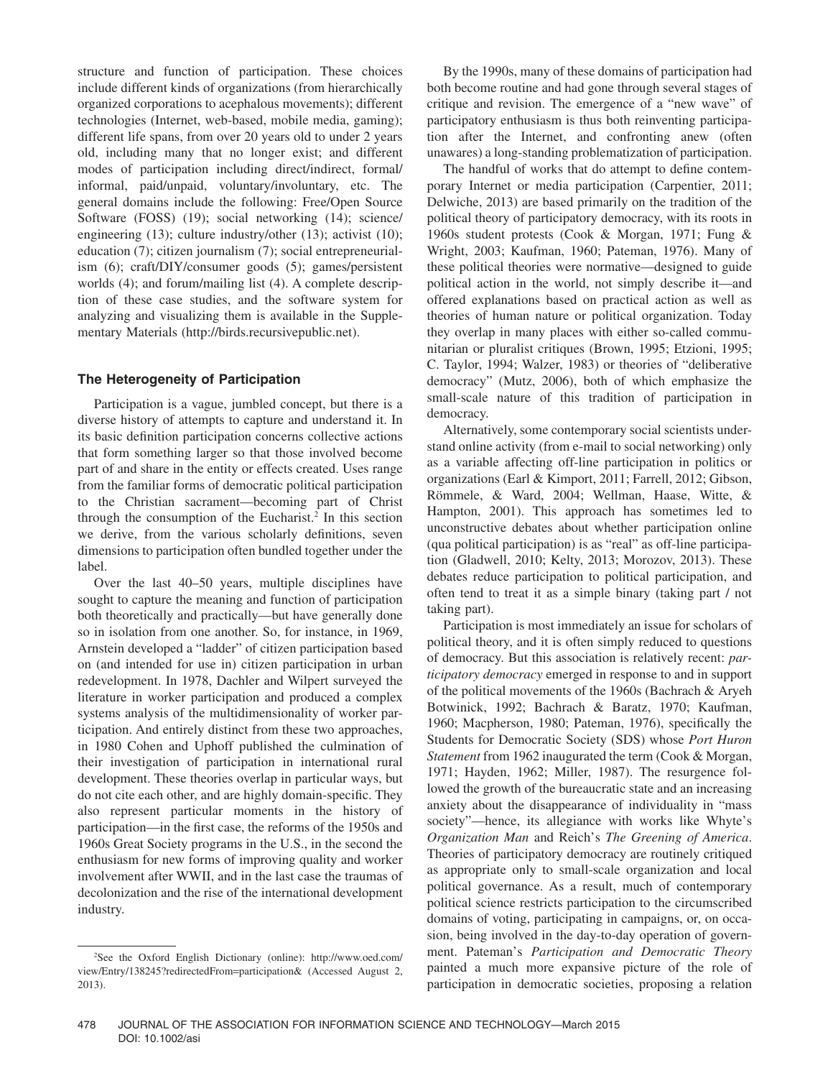structure and function of participation. These choices include different kinds of organizations (from hierarchically organized corporations to acephalous movements); different technologies (Internet, web-based, mobile media, gaming); different life spans, from over 20 years old to under 2 years old, including many that no longer exist; and different modes of participation including direct/indirect, formal/ informal, paid/unpaid, voluntary/involuntary, etc. The general domains include the following: Free/Open Source Software (FOSS) (19); social networking (14); science/ engineering (13); culture industry/other (13); activist (10); education (7); citizen journalism (7); social entrepreneurialism (6); craft/DIY/consumer goods (5); games/persistent worlds (4); and forum/mailing list (4). A complete description of these case studies, and the software system for analyzing and visualizing them is available in the Supplementary Materials [\(http://birds.recursivepublic.net\)](http://birds.recursivepublic.net).

# **The Heterogeneity of Participation**

Participation is a vague, jumbled concept, but there is a diverse history of attempts to capture and understand it. In its basic definition participation concerns collective actions that form something larger so that those involved become part of and share in the entity or effects created. Uses range from the familiar forms of democratic political participation to the Christian sacrament—becoming part of Christ through the consumption of the Eucharist.<sup>2</sup> In this section we derive, from the various scholarly definitions, seven dimensions to participation often bundled together under the label.

Over the last 40–50 years, multiple disciplines have sought to capture the meaning and function of participation both theoretically and practically—but have generally done so in isolation from one another. So, for instance, in 1969, Arnstein developed a "ladder" of citizen participation based on (and intended for use in) citizen participation in urban redevelopment. In 1978, Dachler and Wilpert surveyed the literature in worker participation and produced a complex systems analysis of the multidimensionality of worker participation. And entirely distinct from these two approaches, in 1980 Cohen and Uphoff published the culmination of their investigation of participation in international rural development. These theories overlap in particular ways, but do not cite each other, and are highly domain-specific. They also represent particular moments in the history of participation—in the first case, the reforms of the 1950s and 1960s Great Society programs in the U.S., in the second the enthusiasm for new forms of improving quality and worker involvement after WWII, and in the last case the traumas of decolonization and the rise of the international development industry.

2 See the Oxford English Dictionary (online): [http://www.oed.com/](http://www.oed.com/view/Entry/138245?redirectedFrom=participation&) [view/Entry/138245?redirectedFrom](http://www.oed.com/view/Entry/138245?redirectedFrom=participation&)=participation& (Accessed August 2, 2013).

By the 1990s, many of these domains of participation had both become routine and had gone through several stages of critique and revision. The emergence of a "new wave" of participatory enthusiasm is thus both reinventing participation after the Internet, and confronting anew (often unawares) a long-standing problematization of participation.

The handful of works that do attempt to define contemporary Internet or media participation (Carpentier, 2011; Delwiche, 2013) are based primarily on the tradition of the political theory of participatory democracy, with its roots in 1960s student protests (Cook & Morgan, 1971; Fung & Wright, 2003; Kaufman, 1960; Pateman, 1976). Many of these political theories were normative—designed to guide political action in the world, not simply describe it—and offered explanations based on practical action as well as theories of human nature or political organization. Today they overlap in many places with either so-called communitarian or pluralist critiques (Brown, 1995; Etzioni, 1995; C. Taylor, 1994; Walzer, 1983) or theories of "deliberative democracy" (Mutz, 2006), both of which emphasize the small-scale nature of this tradition of participation in democracy.

Alternatively, some contemporary social scientists understand online activity (from e-mail to social networking) only as a variable affecting off-line participation in politics or organizations (Earl & Kimport, 2011; Farrell, 2012; Gibson, Römmele, & Ward, 2004; Wellman, Haase, Witte, & Hampton, 2001). This approach has sometimes led to unconstructive debates about whether participation online (qua political participation) is as "real" as off-line participation (Gladwell, 2010; Kelty, 2013; Morozov, 2013). These debates reduce participation to political participation, and often tend to treat it as a simple binary (taking part / not taking part).

Participation is most immediately an issue for scholars of political theory, and it is often simply reduced to questions of democracy. But this association is relatively recent: *participatory democracy* emerged in response to and in support of the political movements of the 1960s (Bachrach & Aryeh Botwinick, 1992; Bachrach & Baratz, 1970; Kaufman, 1960; Macpherson, 1980; Pateman, 1976), specifically the Students for Democratic Society (SDS) whose *Port Huron Statement* from 1962 inaugurated the term (Cook & Morgan, 1971; Hayden, 1962; Miller, 1987). The resurgence followed the growth of the bureaucratic state and an increasing anxiety about the disappearance of individuality in "mass society"—hence, its allegiance with works like Whyte's *Organization Man* and Reich's *The Greening of America*. Theories of participatory democracy are routinely critiqued as appropriate only to small-scale organization and local political governance. As a result, much of contemporary political science restricts participation to the circumscribed domains of voting, participating in campaigns, or, on occasion, being involved in the day-to-day operation of government. Pateman's *Participation and Democratic Theory* painted a much more expansive picture of the role of participation in democratic societies, proposing a relation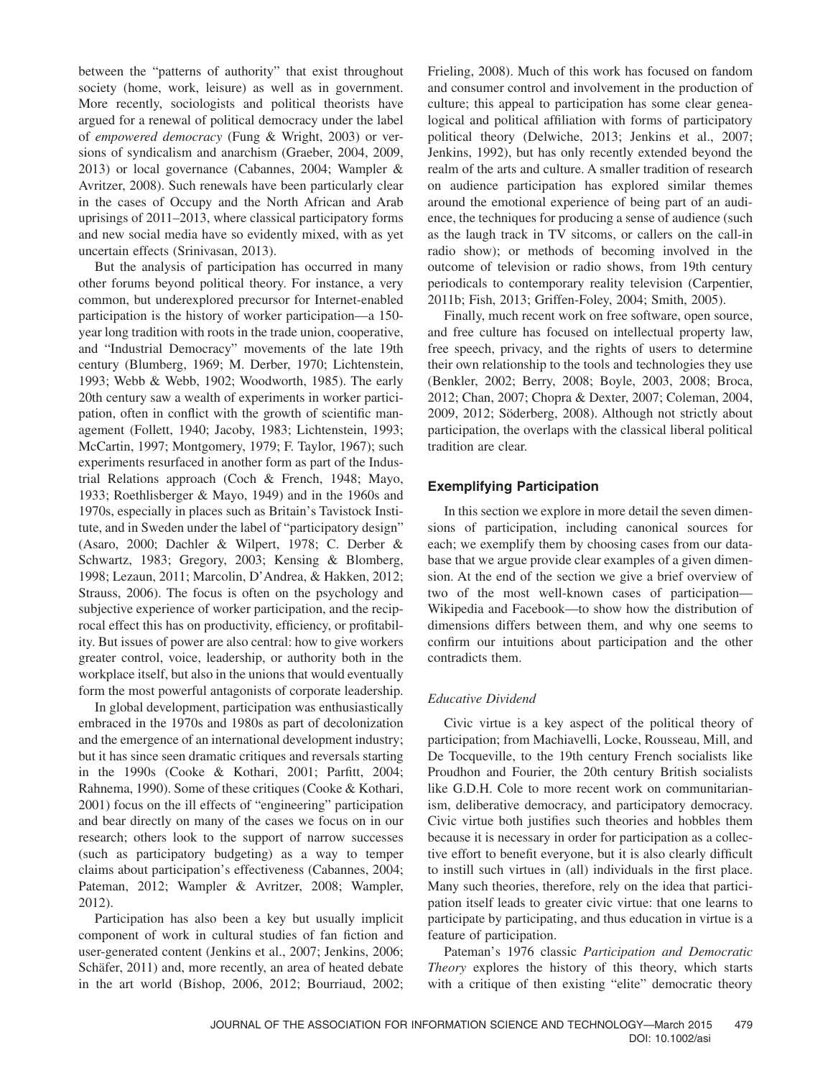between the "patterns of authority" that exist throughout society (home, work, leisure) as well as in government. More recently, sociologists and political theorists have argued for a renewal of political democracy under the label of *empowered democracy* (Fung & Wright, 2003) or versions of syndicalism and anarchism (Graeber, 2004, 2009, 2013) or local governance (Cabannes, 2004; Wampler & Avritzer, 2008). Such renewals have been particularly clear in the cases of Occupy and the North African and Arab uprisings of 2011–2013, where classical participatory forms and new social media have so evidently mixed, with as yet uncertain effects (Srinivasan, 2013).

But the analysis of participation has occurred in many other forums beyond political theory. For instance, a very common, but underexplored precursor for Internet-enabled participation is the history of worker participation—a 150 year long tradition with roots in the trade union, cooperative, and "Industrial Democracy" movements of the late 19th century (Blumberg, 1969; M. Derber, 1970; Lichtenstein, 1993; Webb & Webb, 1902; Woodworth, 1985). The early 20th century saw a wealth of experiments in worker participation, often in conflict with the growth of scientific management (Follett, 1940; Jacoby, 1983; Lichtenstein, 1993; McCartin, 1997; Montgomery, 1979; F. Taylor, 1967); such experiments resurfaced in another form as part of the Industrial Relations approach (Coch & French, 1948; Mayo, 1933; Roethlisberger & Mayo, 1949) and in the 1960s and 1970s, especially in places such as Britain's Tavistock Institute, and in Sweden under the label of "participatory design" (Asaro, 2000; Dachler & Wilpert, 1978; C. Derber & Schwartz, 1983; Gregory, 2003; Kensing & Blomberg, 1998; Lezaun, 2011; Marcolin, D'Andrea, & Hakken, 2012; Strauss, 2006). The focus is often on the psychology and subjective experience of worker participation, and the reciprocal effect this has on productivity, efficiency, or profitability. But issues of power are also central: how to give workers greater control, voice, leadership, or authority both in the workplace itself, but also in the unions that would eventually form the most powerful antagonists of corporate leadership.

In global development, participation was enthusiastically embraced in the 1970s and 1980s as part of decolonization and the emergence of an international development industry; but it has since seen dramatic critiques and reversals starting in the 1990s (Cooke & Kothari, 2001; Parfitt, 2004; Rahnema, 1990). Some of these critiques (Cooke & Kothari, 2001) focus on the ill effects of "engineering" participation and bear directly on many of the cases we focus on in our research; others look to the support of narrow successes (such as participatory budgeting) as a way to temper claims about participation's effectiveness (Cabannes, 2004; Pateman, 2012; Wampler & Avritzer, 2008; Wampler, 2012).

Participation has also been a key but usually implicit component of work in cultural studies of fan fiction and user-generated content (Jenkins et al., 2007; Jenkins, 2006; Schäfer, 2011) and, more recently, an area of heated debate in the art world (Bishop, 2006, 2012; Bourriaud, 2002; Frieling, 2008). Much of this work has focused on fandom and consumer control and involvement in the production of culture; this appeal to participation has some clear genealogical and political affiliation with forms of participatory political theory (Delwiche, 2013; Jenkins et al., 2007; Jenkins, 1992), but has only recently extended beyond the realm of the arts and culture. A smaller tradition of research on audience participation has explored similar themes around the emotional experience of being part of an audience, the techniques for producing a sense of audience (such as the laugh track in TV sitcoms, or callers on the call-in radio show); or methods of becoming involved in the outcome of television or radio shows, from 19th century periodicals to contemporary reality television (Carpentier, 2011b; Fish, 2013; Griffen-Foley, 2004; Smith, 2005).

Finally, much recent work on free software, open source, and free culture has focused on intellectual property law, free speech, privacy, and the rights of users to determine their own relationship to the tools and technologies they use (Benkler, 2002; Berry, 2008; Boyle, 2003, 2008; Broca, 2012; Chan, 2007; Chopra & Dexter, 2007; Coleman, 2004, 2009, 2012; Söderberg, 2008). Although not strictly about participation, the overlaps with the classical liberal political tradition are clear.

# **Exemplifying Participation**

In this section we explore in more detail the seven dimensions of participation, including canonical sources for each; we exemplify them by choosing cases from our database that we argue provide clear examples of a given dimension. At the end of the section we give a brief overview of two of the most well-known cases of participation— Wikipedia and Facebook—to show how the distribution of dimensions differs between them, and why one seems to confirm our intuitions about participation and the other contradicts them.

# *Educative Dividend*

Civic virtue is a key aspect of the political theory of participation; from Machiavelli, Locke, Rousseau, Mill, and De Tocqueville, to the 19th century French socialists like Proudhon and Fourier, the 20th century British socialists like G.D.H. Cole to more recent work on communitarianism, deliberative democracy, and participatory democracy. Civic virtue both justifies such theories and hobbles them because it is necessary in order for participation as a collective effort to benefit everyone, but it is also clearly difficult to instill such virtues in (all) individuals in the first place. Many such theories, therefore, rely on the idea that participation itself leads to greater civic virtue: that one learns to participate by participating, and thus education in virtue is a feature of participation.

Pateman's 1976 classic *Participation and Democratic Theory* explores the history of this theory, which starts with a critique of then existing "elite" democratic theory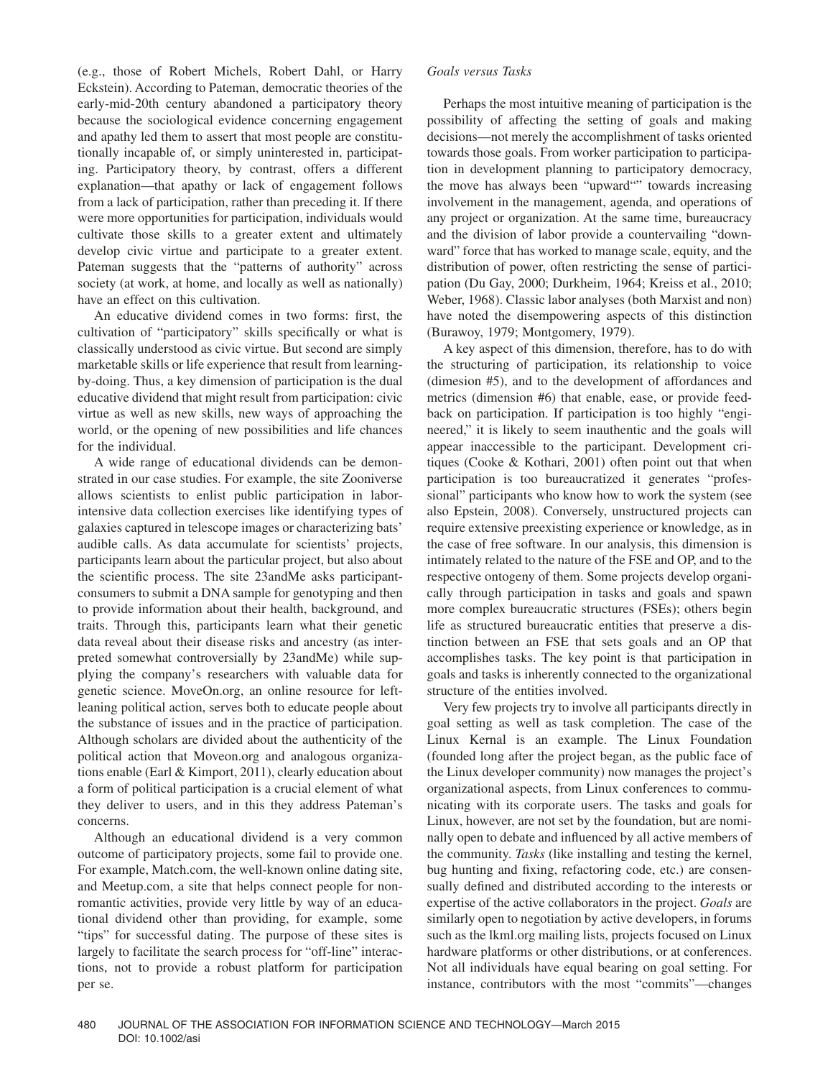(e.g., those of Robert Michels, Robert Dahl, or Harry Eckstein). According to Pateman, democratic theories of the early-mid-20th century abandoned a participatory theory because the sociological evidence concerning engagement and apathy led them to assert that most people are constitutionally incapable of, or simply uninterested in, participating. Participatory theory, by contrast, offers a different explanation—that apathy or lack of engagement follows from a lack of participation, rather than preceding it. If there were more opportunities for participation, individuals would cultivate those skills to a greater extent and ultimately develop civic virtue and participate to a greater extent. Pateman suggests that the "patterns of authority" across society (at work, at home, and locally as well as nationally) have an effect on this cultivation.

An educative dividend comes in two forms: first, the cultivation of "participatory" skills specifically or what is classically understood as civic virtue. But second are simply marketable skills or life experience that result from learningby-doing. Thus, a key dimension of participation is the dual educative dividend that might result from participation: civic virtue as well as new skills, new ways of approaching the world, or the opening of new possibilities and life chances for the individual.

A wide range of educational dividends can be demonstrated in our case studies. For example, the site Zooniverse allows scientists to enlist public participation in laborintensive data collection exercises like identifying types of galaxies captured in telescope images or characterizing bats' audible calls. As data accumulate for scientists' projects, participants learn about the particular project, but also about the scientific process. The site 23andMe asks participantconsumers to submit a DNA sample for genotyping and then to provide information about their health, background, and traits. Through this, participants learn what their genetic data reveal about their disease risks and ancestry (as interpreted somewhat controversially by 23andMe) while supplying the company's researchers with valuable data for genetic science. MoveOn.org, an online resource for leftleaning political action, serves both to educate people about the substance of issues and in the practice of participation. Although scholars are divided about the authenticity of the political action that Moveon.org and analogous organizations enable (Earl & Kimport, 2011), clearly education about a form of political participation is a crucial element of what they deliver to users, and in this they address Pateman's concerns.

Although an educational dividend is a very common outcome of participatory projects, some fail to provide one. For example, Match.com, the well-known online dating site, and Meetup.com, a site that helps connect people for nonromantic activities, provide very little by way of an educational dividend other than providing, for example, some "tips" for successful dating. The purpose of these sites is largely to facilitate the search process for "off-line" interactions, not to provide a robust platform for participation per se.

# *Goals versus Tasks*

Perhaps the most intuitive meaning of participation is the possibility of affecting the setting of goals and making decisions—not merely the accomplishment of tasks oriented towards those goals. From worker participation to participation in development planning to participatory democracy, the move has always been "upward"" towards increasing involvement in the management, agenda, and operations of any project or organization. At the same time, bureaucracy and the division of labor provide a countervailing "downward" force that has worked to manage scale, equity, and the distribution of power, often restricting the sense of participation (Du Gay, 2000; Durkheim, 1964; Kreiss et al., 2010; Weber, 1968). Classic labor analyses (both Marxist and non) have noted the disempowering aspects of this distinction (Burawoy, 1979; Montgomery, 1979).

A key aspect of this dimension, therefore, has to do with the structuring of participation, its relationship to voice (dimesion #5), and to the development of affordances and metrics (dimension #6) that enable, ease, or provide feedback on participation. If participation is too highly "engineered," it is likely to seem inauthentic and the goals will appear inaccessible to the participant. Development critiques (Cooke & Kothari, 2001) often point out that when participation is too bureaucratized it generates "professional" participants who know how to work the system (see also Epstein, 2008). Conversely, unstructured projects can require extensive preexisting experience or knowledge, as in the case of free software. In our analysis, this dimension is intimately related to the nature of the FSE and OP, and to the respective ontogeny of them. Some projects develop organically through participation in tasks and goals and spawn more complex bureaucratic structures (FSEs); others begin life as structured bureaucratic entities that preserve a distinction between an FSE that sets goals and an OP that accomplishes tasks. The key point is that participation in goals and tasks is inherently connected to the organizational structure of the entities involved.

Very few projects try to involve all participants directly in goal setting as well as task completion. The case of the Linux Kernal is an example. The Linux Foundation (founded long after the project began, as the public face of the Linux developer community) now manages the project's organizational aspects, from Linux conferences to communicating with its corporate users. The tasks and goals for Linux, however, are not set by the foundation, but are nominally open to debate and influenced by all active members of the community. *Tasks* (like installing and testing the kernel, bug hunting and fixing, refactoring code, etc.) are consensually defined and distributed according to the interests or expertise of the active collaborators in the project. *Goals* are similarly open to negotiation by active developers, in forums such as the lkml.org mailing lists, projects focused on Linux hardware platforms or other distributions, or at conferences. Not all individuals have equal bearing on goal setting. For instance, contributors with the most "commits"—changes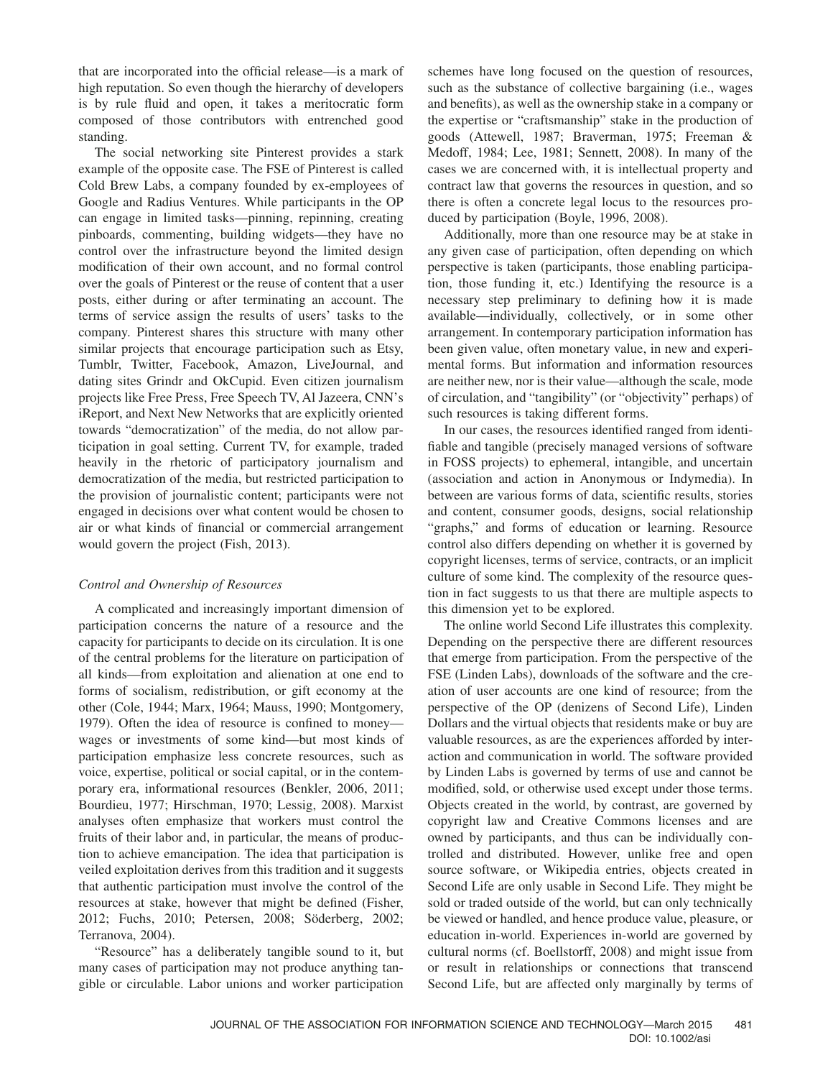that are incorporated into the official release—is a mark of high reputation. So even though the hierarchy of developers is by rule fluid and open, it takes a meritocratic form composed of those contributors with entrenched good standing.

The social networking site Pinterest provides a stark example of the opposite case. The FSE of Pinterest is called Cold Brew Labs, a company founded by ex-employees of Google and Radius Ventures. While participants in the OP can engage in limited tasks—pinning, repinning, creating pinboards, commenting, building widgets—they have no control over the infrastructure beyond the limited design modification of their own account, and no formal control over the goals of Pinterest or the reuse of content that a user posts, either during or after terminating an account. The terms of service assign the results of users' tasks to the company. Pinterest shares this structure with many other similar projects that encourage participation such as Etsy, Tumblr, Twitter, Facebook, Amazon, LiveJournal, and dating sites Grindr and OkCupid. Even citizen journalism projects like Free Press, Free Speech TV, Al Jazeera, CNN's iReport, and Next New Networks that are explicitly oriented towards "democratization" of the media, do not allow participation in goal setting. Current TV, for example, traded heavily in the rhetoric of participatory journalism and democratization of the media, but restricted participation to the provision of journalistic content; participants were not engaged in decisions over what content would be chosen to air or what kinds of financial or commercial arrangement would govern the project (Fish, 2013).

#### *Control and Ownership of Resources*

A complicated and increasingly important dimension of participation concerns the nature of a resource and the capacity for participants to decide on its circulation. It is one of the central problems for the literature on participation of all kinds—from exploitation and alienation at one end to forms of socialism, redistribution, or gift economy at the other (Cole, 1944; Marx, 1964; Mauss, 1990; Montgomery, 1979). Often the idea of resource is confined to money wages or investments of some kind—but most kinds of participation emphasize less concrete resources, such as voice, expertise, political or social capital, or in the contemporary era, informational resources (Benkler, 2006, 2011; Bourdieu, 1977; Hirschman, 1970; Lessig, 2008). Marxist analyses often emphasize that workers must control the fruits of their labor and, in particular, the means of production to achieve emancipation. The idea that participation is veiled exploitation derives from this tradition and it suggests that authentic participation must involve the control of the resources at stake, however that might be defined (Fisher, 2012; Fuchs, 2010; Petersen, 2008; Söderberg, 2002; Terranova, 2004).

"Resource" has a deliberately tangible sound to it, but many cases of participation may not produce anything tangible or circulable. Labor unions and worker participation

schemes have long focused on the question of resources, such as the substance of collective bargaining (i.e., wages and benefits), as well as the ownership stake in a company or the expertise or "craftsmanship" stake in the production of goods (Attewell, 1987; Braverman, 1975; Freeman & Medoff, 1984; Lee, 1981; Sennett, 2008). In many of the cases we are concerned with, it is intellectual property and contract law that governs the resources in question, and so there is often a concrete legal locus to the resources produced by participation (Boyle, 1996, 2008).

Additionally, more than one resource may be at stake in any given case of participation, often depending on which perspective is taken (participants, those enabling participation, those funding it, etc.) Identifying the resource is a necessary step preliminary to defining how it is made available—individually, collectively, or in some other arrangement. In contemporary participation information has been given value, often monetary value, in new and experimental forms. But information and information resources are neither new, nor is their value—although the scale, mode of circulation, and "tangibility" (or "objectivity" perhaps) of such resources is taking different forms.

In our cases, the resources identified ranged from identifiable and tangible (precisely managed versions of software in FOSS projects) to ephemeral, intangible, and uncertain (association and action in Anonymous or Indymedia). In between are various forms of data, scientific results, stories and content, consumer goods, designs, social relationship "graphs," and forms of education or learning. Resource control also differs depending on whether it is governed by copyright licenses, terms of service, contracts, or an implicit culture of some kind. The complexity of the resource question in fact suggests to us that there are multiple aspects to this dimension yet to be explored.

The online world Second Life illustrates this complexity. Depending on the perspective there are different resources that emerge from participation. From the perspective of the FSE (Linden Labs), downloads of the software and the creation of user accounts are one kind of resource; from the perspective of the OP (denizens of Second Life), Linden Dollars and the virtual objects that residents make or buy are valuable resources, as are the experiences afforded by interaction and communication in world. The software provided by Linden Labs is governed by terms of use and cannot be modified, sold, or otherwise used except under those terms. Objects created in the world, by contrast, are governed by copyright law and Creative Commons licenses and are owned by participants, and thus can be individually controlled and distributed. However, unlike free and open source software, or Wikipedia entries, objects created in Second Life are only usable in Second Life. They might be sold or traded outside of the world, but can only technically be viewed or handled, and hence produce value, pleasure, or education in-world. Experiences in-world are governed by cultural norms (cf. Boellstorff, 2008) and might issue from or result in relationships or connections that transcend Second Life, but are affected only marginally by terms of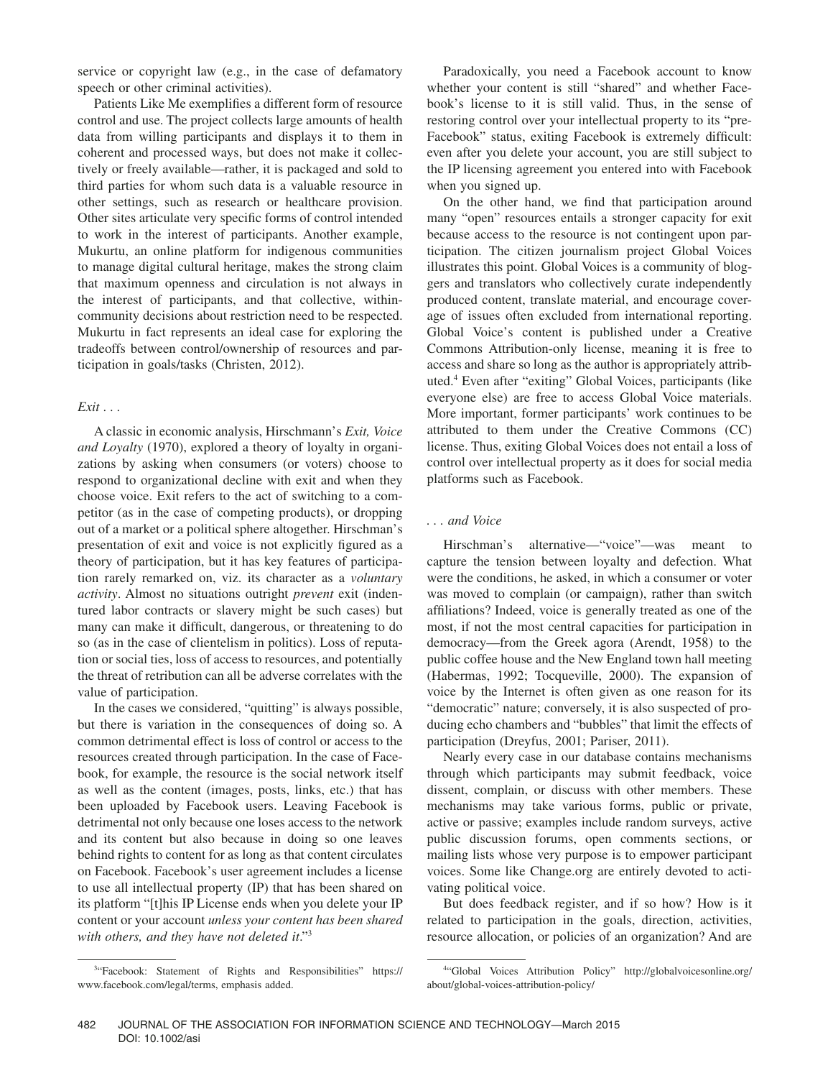service or copyright law (e.g., in the case of defamatory speech or other criminal activities).

Patients Like Me exemplifies a different form of resource control and use. The project collects large amounts of health data from willing participants and displays it to them in coherent and processed ways, but does not make it collectively or freely available—rather, it is packaged and sold to third parties for whom such data is a valuable resource in other settings, such as research or healthcare provision. Other sites articulate very specific forms of control intended to work in the interest of participants. Another example, Mukurtu, an online platform for indigenous communities to manage digital cultural heritage, makes the strong claim that maximum openness and circulation is not always in the interest of participants, and that collective, withincommunity decisions about restriction need to be respected. Mukurtu in fact represents an ideal case for exploring the tradeoffs between control/ownership of resources and participation in goals/tasks (Christen, 2012).

## *Exit . . .*

A classic in economic analysis, Hirschmann's *Exit, Voice and Loyalty* (1970), explored a theory of loyalty in organizations by asking when consumers (or voters) choose to respond to organizational decline with exit and when they choose voice. Exit refers to the act of switching to a competitor (as in the case of competing products), or dropping out of a market or a political sphere altogether. Hirschman's presentation of exit and voice is not explicitly figured as a theory of participation, but it has key features of participation rarely remarked on, viz. its character as a *voluntary activity*. Almost no situations outright *prevent* exit (indentured labor contracts or slavery might be such cases) but many can make it difficult, dangerous, or threatening to do so (as in the case of clientelism in politics). Loss of reputation or social ties, loss of access to resources, and potentially the threat of retribution can all be adverse correlates with the value of participation.

In the cases we considered, "quitting" is always possible, but there is variation in the consequences of doing so. A common detrimental effect is loss of control or access to the resources created through participation. In the case of Facebook, for example, the resource is the social network itself as well as the content (images, posts, links, etc.) that has been uploaded by Facebook users. Leaving Facebook is detrimental not only because one loses access to the network and its content but also because in doing so one leaves behind rights to content for as long as that content circulates on Facebook. Facebook's user agreement includes a license to use all intellectual property (IP) that has been shared on its platform "[t]his IP License ends when you delete your IP content or your account *unless your content has been shared with others, and they have not deleted it*."3

Paradoxically, you need a Facebook account to know whether your content is still "shared" and whether Facebook's license to it is still valid. Thus, in the sense of restoring control over your intellectual property to its "pre-Facebook" status, exiting Facebook is extremely difficult: even after you delete your account, you are still subject to the IP licensing agreement you entered into with Facebook when you signed up.

On the other hand, we find that participation around many "open" resources entails a stronger capacity for exit because access to the resource is not contingent upon participation. The citizen journalism project Global Voices illustrates this point. Global Voices is a community of bloggers and translators who collectively curate independently produced content, translate material, and encourage coverage of issues often excluded from international reporting. Global Voice's content is published under a Creative Commons Attribution-only license, meaning it is free to access and share so long as the author is appropriately attributed.4 Even after "exiting" Global Voices, participants (like everyone else) are free to access Global Voice materials. More important, former participants' work continues to be attributed to them under the Creative Commons (CC) license. Thus, exiting Global Voices does not entail a loss of control over intellectual property as it does for social media platforms such as Facebook.

## *. . . and Voice*

Hirschman's alternative—"voice"—was meant to capture the tension between loyalty and defection. What were the conditions, he asked, in which a consumer or voter was moved to complain (or campaign), rather than switch affiliations? Indeed, voice is generally treated as one of the most, if not the most central capacities for participation in democracy—from the Greek agora (Arendt, 1958) to the public coffee house and the New England town hall meeting (Habermas, 1992; Tocqueville, 2000). The expansion of voice by the Internet is often given as one reason for its "democratic" nature; conversely, it is also suspected of producing echo chambers and "bubbles" that limit the effects of participation (Dreyfus, 2001; Pariser, 2011).

Nearly every case in our database contains mechanisms through which participants may submit feedback, voice dissent, complain, or discuss with other members. These mechanisms may take various forms, public or private, active or passive; examples include random surveys, active public discussion forums, open comments sections, or mailing lists whose very purpose is to empower participant voices. Some like Change.org are entirely devoted to activating political voice.

But does feedback register, and if so how? How is it related to participation in the goals, direction, activities, resource allocation, or policies of an organization? And are

<sup>&</sup>lt;sup>3</sup>"Facebook: Statement of Rights and Responsibilities" [https://](https://www.facebook.com/legal/terms) [www.facebook.com/legal/terms,](https://www.facebook.com/legal/terms) emphasis added.

<sup>4</sup> "Global Voices Attribution Policy" [http://globalvoicesonline.org/](http://globalvoicesonline.org/about/global-voices-attribution-policy/) [about/global-voices-attribution-policy/](http://globalvoicesonline.org/about/global-voices-attribution-policy/)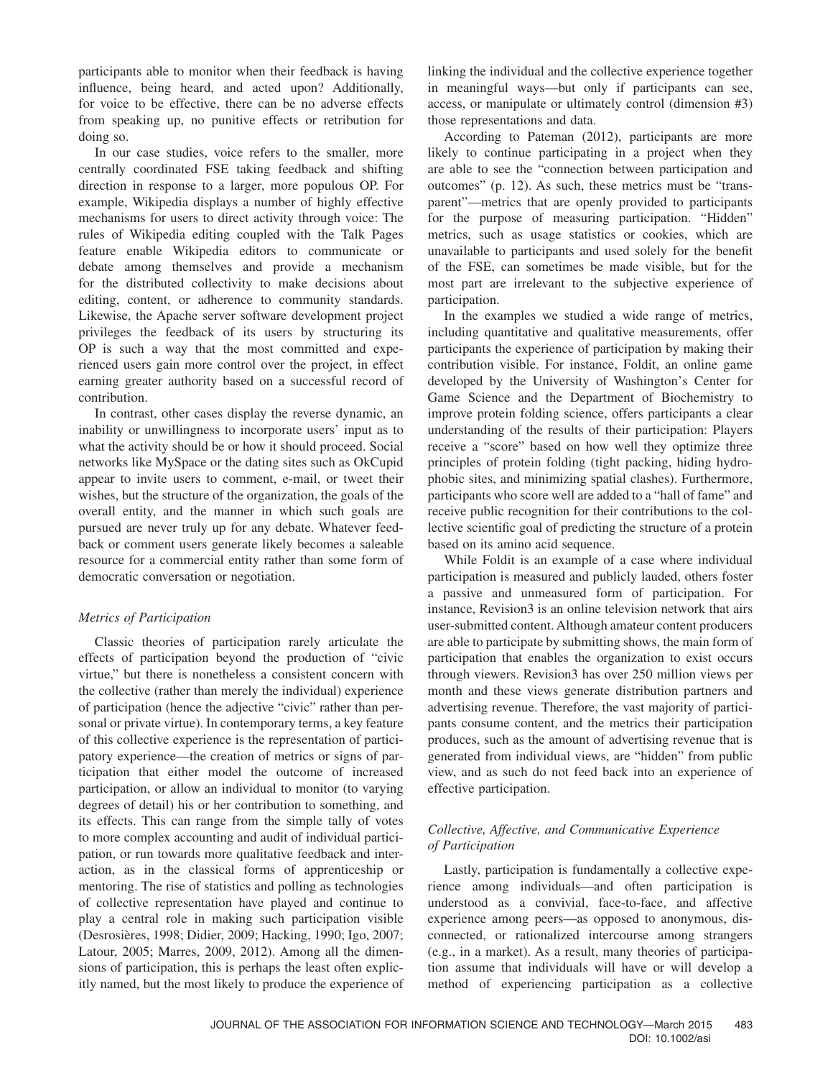participants able to monitor when their feedback is having influence, being heard, and acted upon? Additionally, for voice to be effective, there can be no adverse effects from speaking up, no punitive effects or retribution for doing so.

In our case studies, voice refers to the smaller, more centrally coordinated FSE taking feedback and shifting direction in response to a larger, more populous OP. For example, Wikipedia displays a number of highly effective mechanisms for users to direct activity through voice: The rules of Wikipedia editing coupled with the Talk Pages feature enable Wikipedia editors to communicate or debate among themselves and provide a mechanism for the distributed collectivity to make decisions about editing, content, or adherence to community standards. Likewise, the Apache server software development project privileges the feedback of its users by structuring its OP is such a way that the most committed and experienced users gain more control over the project, in effect earning greater authority based on a successful record of contribution.

In contrast, other cases display the reverse dynamic, an inability or unwillingness to incorporate users' input as to what the activity should be or how it should proceed. Social networks like MySpace or the dating sites such as OkCupid appear to invite users to comment, e-mail, or tweet their wishes, but the structure of the organization, the goals of the overall entity, and the manner in which such goals are pursued are never truly up for any debate. Whatever feedback or comment users generate likely becomes a saleable resource for a commercial entity rather than some form of democratic conversation or negotiation.

# *Metrics of Participation*

Classic theories of participation rarely articulate the effects of participation beyond the production of "civic virtue," but there is nonetheless a consistent concern with the collective (rather than merely the individual) experience of participation (hence the adjective "civic" rather than personal or private virtue). In contemporary terms, a key feature of this collective experience is the representation of participatory experience—the creation of metrics or signs of participation that either model the outcome of increased participation, or allow an individual to monitor (to varying degrees of detail) his or her contribution to something, and its effects. This can range from the simple tally of votes to more complex accounting and audit of individual participation, or run towards more qualitative feedback and interaction, as in the classical forms of apprenticeship or mentoring. The rise of statistics and polling as technologies of collective representation have played and continue to play a central role in making such participation visible (Desrosières, 1998; Didier, 2009; Hacking, 1990; Igo, 2007; Latour, 2005; Marres, 2009, 2012). Among all the dimensions of participation, this is perhaps the least often explicitly named, but the most likely to produce the experience of linking the individual and the collective experience together in meaningful ways—but only if participants can see, access, or manipulate or ultimately control (dimension #3) those representations and data.

According to Pateman (2012), participants are more likely to continue participating in a project when they are able to see the "connection between participation and outcomes" (p. 12). As such, these metrics must be "transparent"—metrics that are openly provided to participants for the purpose of measuring participation. "Hidden" metrics, such as usage statistics or cookies, which are unavailable to participants and used solely for the benefit of the FSE, can sometimes be made visible, but for the most part are irrelevant to the subjective experience of participation.

In the examples we studied a wide range of metrics, including quantitative and qualitative measurements, offer participants the experience of participation by making their contribution visible. For instance, Foldit, an online game developed by the University of Washington's Center for Game Science and the Department of Biochemistry to improve protein folding science, offers participants a clear understanding of the results of their participation: Players receive a "score" based on how well they optimize three principles of protein folding (tight packing, hiding hydrophobic sites, and minimizing spatial clashes). Furthermore, participants who score well are added to a "hall of fame" and receive public recognition for their contributions to the collective scientific goal of predicting the structure of a protein based on its amino acid sequence.

While Foldit is an example of a case where individual participation is measured and publicly lauded, others foster a passive and unmeasured form of participation. For instance, Revision3 is an online television network that airs user-submitted content. Although amateur content producers are able to participate by submitting shows, the main form of participation that enables the organization to exist occurs through viewers. Revision3 has over 250 million views per month and these views generate distribution partners and advertising revenue. Therefore, the vast majority of participants consume content, and the metrics their participation produces, such as the amount of advertising revenue that is generated from individual views, are "hidden" from public view, and as such do not feed back into an experience of effective participation.

# *Collective, Affective, and Communicative Experience of Participation*

Lastly, participation is fundamentally a collective experience among individuals—and often participation is understood as a convivial, face-to-face, and affective experience among peers—as opposed to anonymous, disconnected, or rationalized intercourse among strangers (e.g., in a market). As a result, many theories of participation assume that individuals will have or will develop a method of experiencing participation as a collective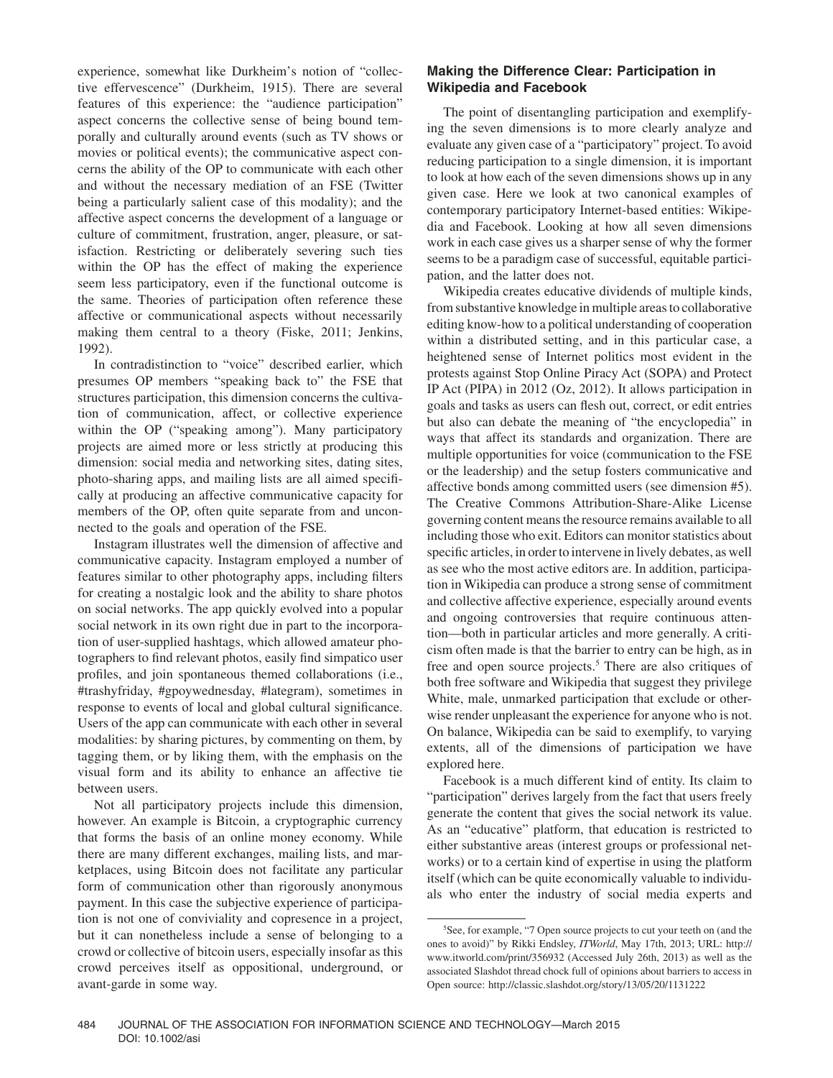experience, somewhat like Durkheim's notion of "collective effervescence" (Durkheim, 1915). There are several features of this experience: the "audience participation" aspect concerns the collective sense of being bound temporally and culturally around events (such as TV shows or movies or political events); the communicative aspect concerns the ability of the OP to communicate with each other and without the necessary mediation of an FSE (Twitter being a particularly salient case of this modality); and the affective aspect concerns the development of a language or culture of commitment, frustration, anger, pleasure, or satisfaction. Restricting or deliberately severing such ties within the OP has the effect of making the experience seem less participatory, even if the functional outcome is the same. Theories of participation often reference these affective or communicational aspects without necessarily making them central to a theory (Fiske, 2011; Jenkins, 1992).

In contradistinction to "voice" described earlier, which presumes OP members "speaking back to" the FSE that structures participation, this dimension concerns the cultivation of communication, affect, or collective experience within the OP ("speaking among"). Many participatory projects are aimed more or less strictly at producing this dimension: social media and networking sites, dating sites, photo-sharing apps, and mailing lists are all aimed specifically at producing an affective communicative capacity for members of the OP, often quite separate from and unconnected to the goals and operation of the FSE.

Instagram illustrates well the dimension of affective and communicative capacity. Instagram employed a number of features similar to other photography apps, including filters for creating a nostalgic look and the ability to share photos on social networks. The app quickly evolved into a popular social network in its own right due in part to the incorporation of user-supplied hashtags, which allowed amateur photographers to find relevant photos, easily find simpatico user profiles, and join spontaneous themed collaborations (i.e., #trashyfriday, #gpoywednesday, #lategram), sometimes in response to events of local and global cultural significance. Users of the app can communicate with each other in several modalities: by sharing pictures, by commenting on them, by tagging them, or by liking them, with the emphasis on the visual form and its ability to enhance an affective tie between users.

Not all participatory projects include this dimension, however. An example is Bitcoin, a cryptographic currency that forms the basis of an online money economy. While there are many different exchanges, mailing lists, and marketplaces, using Bitcoin does not facilitate any particular form of communication other than rigorously anonymous payment. In this case the subjective experience of participation is not one of conviviality and copresence in a project, but it can nonetheless include a sense of belonging to a crowd or collective of bitcoin users, especially insofar as this crowd perceives itself as oppositional, underground, or avant-garde in some way.

# **Making the Difference Clear: Participation in Wikipedia and Facebook**

The point of disentangling participation and exemplifying the seven dimensions is to more clearly analyze and evaluate any given case of a "participatory" project. To avoid reducing participation to a single dimension, it is important to look at how each of the seven dimensions shows up in any given case. Here we look at two canonical examples of contemporary participatory Internet-based entities: Wikipedia and Facebook. Looking at how all seven dimensions work in each case gives us a sharper sense of why the former seems to be a paradigm case of successful, equitable participation, and the latter does not.

Wikipedia creates educative dividends of multiple kinds, from substantive knowledge in multiple areas to collaborative editing know-how to a political understanding of cooperation within a distributed setting, and in this particular case, a heightened sense of Internet politics most evident in the protests against Stop Online Piracy Act (SOPA) and Protect IP Act (PIPA) in 2012 (Oz, 2012). It allows participation in goals and tasks as users can flesh out, correct, or edit entries but also can debate the meaning of "the encyclopedia" in ways that affect its standards and organization. There are multiple opportunities for voice (communication to the FSE or the leadership) and the setup fosters communicative and affective bonds among committed users (see dimension #5). The Creative Commons Attribution-Share-Alike License governing content means the resource remains available to all including those who exit. Editors can monitor statistics about specific articles, in order to intervene in lively debates, as well as see who the most active editors are. In addition, participation in Wikipedia can produce a strong sense of commitment and collective affective experience, especially around events and ongoing controversies that require continuous attention—both in particular articles and more generally. A criticism often made is that the barrier to entry can be high, as in free and open source projects.<sup>5</sup> There are also critiques of both free software and Wikipedia that suggest they privilege White, male, unmarked participation that exclude or otherwise render unpleasant the experience for anyone who is not. On balance, Wikipedia can be said to exemplify, to varying extents, all of the dimensions of participation we have explored here.

Facebook is a much different kind of entity. Its claim to "participation" derives largely from the fact that users freely generate the content that gives the social network its value. As an "educative" platform, that education is restricted to either substantive areas (interest groups or professional networks) or to a certain kind of expertise in using the platform itself (which can be quite economically valuable to individuals who enter the industry of social media experts and

<sup>5</sup> See, for example, "7 Open source projects to cut your teeth on (and the ones to avoid)" by Rikki Endsley, *ITWorld*, May 17th, 2013; URL: [http://](http://www.itworld.com/print/356932) [www.itworld.com/print/356932](http://www.itworld.com/print/356932) (Accessed July 26th, 2013) as well as the associated Slashdot thread chock full of opinions about barriers to access in Open source:<http://classic.slashdot.org/story/13/05/20/1131222>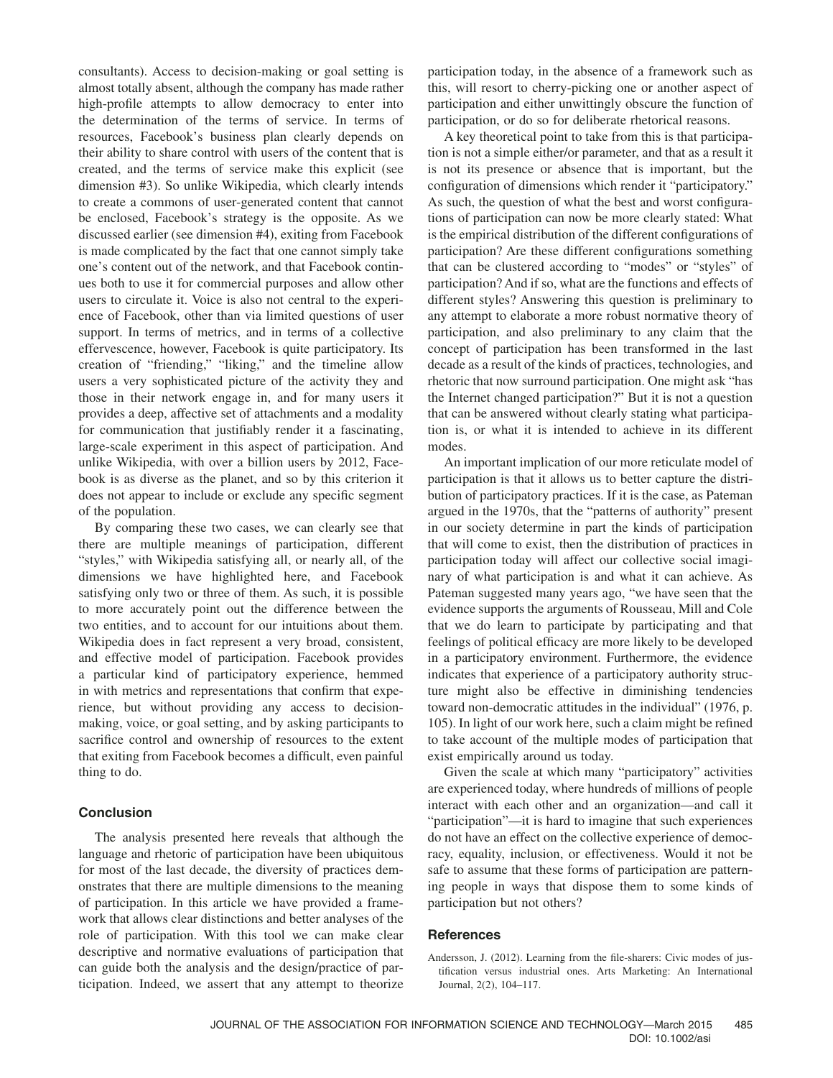consultants). Access to decision-making or goal setting is almost totally absent, although the company has made rather high-profile attempts to allow democracy to enter into the determination of the terms of service. In terms of resources, Facebook's business plan clearly depends on their ability to share control with users of the content that is created, and the terms of service make this explicit (see dimension #3). So unlike Wikipedia, which clearly intends to create a commons of user-generated content that cannot be enclosed, Facebook's strategy is the opposite. As we discussed earlier (see dimension #4), exiting from Facebook is made complicated by the fact that one cannot simply take one's content out of the network, and that Facebook continues both to use it for commercial purposes and allow other users to circulate it. Voice is also not central to the experience of Facebook, other than via limited questions of user support. In terms of metrics, and in terms of a collective effervescence, however, Facebook is quite participatory. Its creation of "friending," "liking," and the timeline allow users a very sophisticated picture of the activity they and those in their network engage in, and for many users it provides a deep, affective set of attachments and a modality for communication that justifiably render it a fascinating, large-scale experiment in this aspect of participation. And unlike Wikipedia, with over a billion users by 2012, Facebook is as diverse as the planet, and so by this criterion it does not appear to include or exclude any specific segment of the population.

By comparing these two cases, we can clearly see that there are multiple meanings of participation, different "styles," with Wikipedia satisfying all, or nearly all, of the dimensions we have highlighted here, and Facebook satisfying only two or three of them. As such, it is possible to more accurately point out the difference between the two entities, and to account for our intuitions about them. Wikipedia does in fact represent a very broad, consistent, and effective model of participation. Facebook provides a particular kind of participatory experience, hemmed in with metrics and representations that confirm that experience, but without providing any access to decisionmaking, voice, or goal setting, and by asking participants to sacrifice control and ownership of resources to the extent that exiting from Facebook becomes a difficult, even painful thing to do.

# **Conclusion**

The analysis presented here reveals that although the language and rhetoric of participation have been ubiquitous for most of the last decade, the diversity of practices demonstrates that there are multiple dimensions to the meaning of participation. In this article we have provided a framework that allows clear distinctions and better analyses of the role of participation. With this tool we can make clear descriptive and normative evaluations of participation that can guide both the analysis and the design/practice of participation. Indeed, we assert that any attempt to theorize participation today, in the absence of a framework such as this, will resort to cherry-picking one or another aspect of participation and either unwittingly obscure the function of participation, or do so for deliberate rhetorical reasons.

A key theoretical point to take from this is that participation is not a simple either/or parameter, and that as a result it is not its presence or absence that is important, but the configuration of dimensions which render it "participatory." As such, the question of what the best and worst configurations of participation can now be more clearly stated: What is the empirical distribution of the different configurations of participation? Are these different configurations something that can be clustered according to "modes" or "styles" of participation? And if so, what are the functions and effects of different styles? Answering this question is preliminary to any attempt to elaborate a more robust normative theory of participation, and also preliminary to any claim that the concept of participation has been transformed in the last decade as a result of the kinds of practices, technologies, and rhetoric that now surround participation. One might ask "has the Internet changed participation?" But it is not a question that can be answered without clearly stating what participation is, or what it is intended to achieve in its different modes.

An important implication of our more reticulate model of participation is that it allows us to better capture the distribution of participatory practices. If it is the case, as Pateman argued in the 1970s, that the "patterns of authority" present in our society determine in part the kinds of participation that will come to exist, then the distribution of practices in participation today will affect our collective social imaginary of what participation is and what it can achieve. As Pateman suggested many years ago, "we have seen that the evidence supports the arguments of Rousseau, Mill and Cole that we do learn to participate by participating and that feelings of political efficacy are more likely to be developed in a participatory environment. Furthermore, the evidence indicates that experience of a participatory authority structure might also be effective in diminishing tendencies toward non-democratic attitudes in the individual" (1976, p. 105). In light of our work here, such a claim might be refined to take account of the multiple modes of participation that exist empirically around us today.

Given the scale at which many "participatory" activities are experienced today, where hundreds of millions of people interact with each other and an organization—and call it "participation"—it is hard to imagine that such experiences do not have an effect on the collective experience of democracy, equality, inclusion, or effectiveness. Would it not be safe to assume that these forms of participation are patterning people in ways that dispose them to some kinds of participation but not others?

#### **References**

Andersson, J. (2012). Learning from the file-sharers: Civic modes of justification versus industrial ones. Arts Marketing: An International Journal, 2(2), 104–117.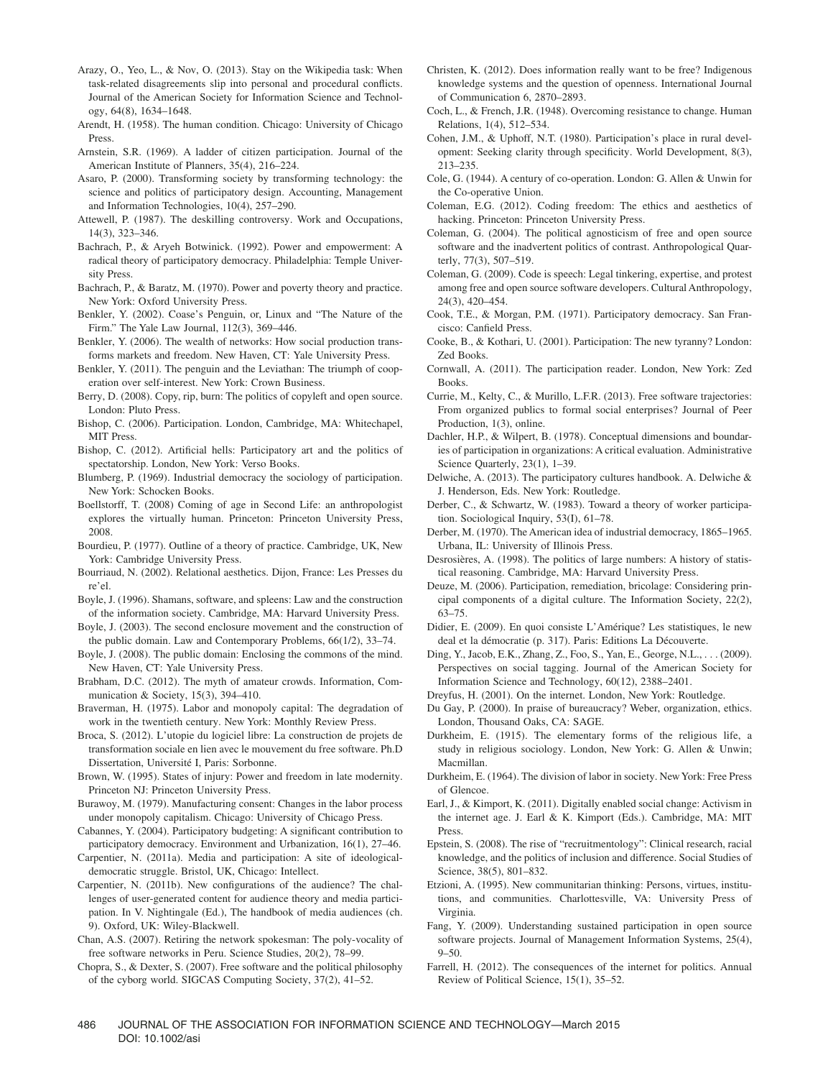- Arazy, O., Yeo, L., & Nov, O. (2013). Stay on the Wikipedia task: When task-related disagreements slip into personal and procedural conflicts. Journal of the American Society for Information Science and Technology, 64(8), 1634–1648.
- Arendt, H. (1958). The human condition. Chicago: University of Chicago Press.
- Arnstein, S.R. (1969). A ladder of citizen participation. Journal of the American Institute of Planners, 35(4), 216–224.
- Asaro, P. (2000). Transforming society by transforming technology: the science and politics of participatory design. Accounting, Management and Information Technologies, 10(4), 257–290.
- Attewell, P. (1987). The deskilling controversy. Work and Occupations, 14(3), 323–346.
- Bachrach, P., & Aryeh Botwinick. (1992). Power and empowerment: A radical theory of participatory democracy. Philadelphia: Temple University Press.
- Bachrach, P., & Baratz, M. (1970). Power and poverty theory and practice. New York: Oxford University Press.
- Benkler, Y. (2002). Coase's Penguin, or, Linux and "The Nature of the Firm." The Yale Law Journal, 112(3), 369–446.
- Benkler, Y. (2006). The wealth of networks: How social production transforms markets and freedom. New Haven, CT: Yale University Press.
- Benkler, Y. (2011). The penguin and the Leviathan: The triumph of cooperation over self-interest. New York: Crown Business.
- Berry, D. (2008). Copy, rip, burn: The politics of copyleft and open source. London: Pluto Press.
- Bishop, C. (2006). Participation. London, Cambridge, MA: Whitechapel, MIT Press.
- Bishop, C. (2012). Artificial hells: Participatory art and the politics of spectatorship. London, New York: Verso Books.
- Blumberg, P. (1969). Industrial democracy the sociology of participation. New York: Schocken Books.
- Boellstorff, T. (2008) Coming of age in Second Life: an anthropologist explores the virtually human. Princeton: Princeton University Press, 2008.
- Bourdieu, P. (1977). Outline of a theory of practice. Cambridge, UK, New York: Cambridge University Press.
- Bourriaud, N. (2002). Relational aesthetics. Dijon, France: Les Presses du re'el.
- Boyle, J. (1996). Shamans, software, and spleens: Law and the construction of the information society. Cambridge, MA: Harvard University Press.
- Boyle, J. (2003). The second enclosure movement and the construction of the public domain. Law and Contemporary Problems, 66(1/2), 33–74.
- Boyle, J. (2008). The public domain: Enclosing the commons of the mind. New Haven, CT: Yale University Press.
- Brabham, D.C. (2012). The myth of amateur crowds. Information, Communication & Society, 15(3), 394–410.
- Braverman, H. (1975). Labor and monopoly capital: The degradation of work in the twentieth century. New York: Monthly Review Press.
- Broca, S. (2012). L'utopie du logiciel libre: La construction de projets de transformation sociale en lien avec le mouvement du free software. Ph.D Dissertation, Université I, Paris: Sorbonne.
- Brown, W. (1995). States of injury: Power and freedom in late modernity. Princeton NJ: Princeton University Press.
- Burawoy, M. (1979). Manufacturing consent: Changes in the labor process under monopoly capitalism. Chicago: University of Chicago Press.
- Cabannes, Y. (2004). Participatory budgeting: A significant contribution to participatory democracy. Environment and Urbanization, 16(1), 27–46.
- Carpentier, N. (2011a). Media and participation: A site of ideologicaldemocratic struggle. Bristol, UK, Chicago: Intellect.
- Carpentier, N. (2011b). New configurations of the audience? The challenges of user-generated content for audience theory and media participation. In V. Nightingale (Ed.), The handbook of media audiences (ch. 9). Oxford, UK: Wiley-Blackwell.
- Chan, A.S. (2007). Retiring the network spokesman: The poly-vocality of free software networks in Peru. Science Studies, 20(2), 78–99.
- Chopra, S., & Dexter, S. (2007). Free software and the political philosophy of the cyborg world. SIGCAS Computing Society, 37(2), 41–52.
- Christen, K. (2012). Does information really want to be free? Indigenous knowledge systems and the question of openness. International Journal of Communication 6, 2870–2893.
- Coch, L., & French, J.R. (1948). Overcoming resistance to change. Human Relations, 1(4), 512–534.
- Cohen, J.M., & Uphoff, N.T. (1980). Participation's place in rural development: Seeking clarity through specificity. World Development, 8(3), 213–235.
- Cole, G. (1944). A century of co-operation. London: G. Allen & Unwin for the Co-operative Union.
- Coleman, E.G. (2012). Coding freedom: The ethics and aesthetics of hacking. Princeton: Princeton University Press.
- Coleman, G. (2004). The political agnosticism of free and open source software and the inadvertent politics of contrast. Anthropological Quarterly, 77(3), 507–519.
- Coleman, G. (2009). Code is speech: Legal tinkering, expertise, and protest among free and open source software developers. Cultural Anthropology, 24(3), 420–454.
- Cook, T.E., & Morgan, P.M. (1971). Participatory democracy. San Francisco: Canfield Press.
- Cooke, B., & Kothari, U. (2001). Participation: The new tyranny? London: Zed Books.
- Cornwall, A. (2011). The participation reader. London, New York: Zed Books.
- Currie, M., Kelty, C., & Murillo, L.F.R. (2013). Free software trajectories: From organized publics to formal social enterprises? Journal of Peer Production, 1(3), online.
- Dachler, H.P., & Wilpert, B. (1978). Conceptual dimensions and boundaries of participation in organizations: A critical evaluation. Administrative Science Quarterly, 23(1), 1–39.
- Delwiche, A. (2013). The participatory cultures handbook. A. Delwiche & J. Henderson, Eds. New York: Routledge.
- Derber, C., & Schwartz, W. (1983). Toward a theory of worker participation. Sociological Inquiry, 53(I), 61–78.
- Derber, M. (1970). The American idea of industrial democracy, 1865–1965. Urbana, IL: University of Illinois Press.
- Desrosières, A. (1998). The politics of large numbers: A history of statistical reasoning. Cambridge, MA: Harvard University Press.
- Deuze, M. (2006). Participation, remediation, bricolage: Considering principal components of a digital culture. The Information Society, 22(2), 63–75.
- Didier, E. (2009). En quoi consiste L'Amérique? Les statistiques, le new deal et la démocratie (p. 317). Paris: Editions La Découverte.
- Ding, Y., Jacob, E.K., Zhang, Z., Foo, S., Yan, E., George, N.L., . . . (2009). Perspectives on social tagging. Journal of the American Society for Information Science and Technology, 60(12), 2388–2401.
- Dreyfus, H. (2001). On the internet. London, New York: Routledge.
- Du Gay, P. (2000). In praise of bureaucracy? Weber, organization, ethics. London, Thousand Oaks, CA: SAGE.
- Durkheim, E. (1915). The elementary forms of the religious life, a study in religious sociology. London, New York: G. Allen & Unwin; Macmillan.
- Durkheim, E. (1964). The division of labor in society. NewYork: Free Press of Glencoe.
- Earl, J., & Kimport, K. (2011). Digitally enabled social change: Activism in the internet age. J. Earl & K. Kimport (Eds.). Cambridge, MA: MIT Press.
- Epstein, S. (2008). The rise of "recruitmentology": Clinical research, racial knowledge, and the politics of inclusion and difference. Social Studies of Science, 38(5), 801–832.
- Etzioni, A. (1995). New communitarian thinking: Persons, virtues, institutions, and communities. Charlottesville, VA: University Press of Virginia.
- Fang, Y. (2009). Understanding sustained participation in open source software projects. Journal of Management Information Systems, 25(4),  $9 - 50.$
- Farrell, H. (2012). The consequences of the internet for politics. Annual Review of Political Science, 15(1), 35–52.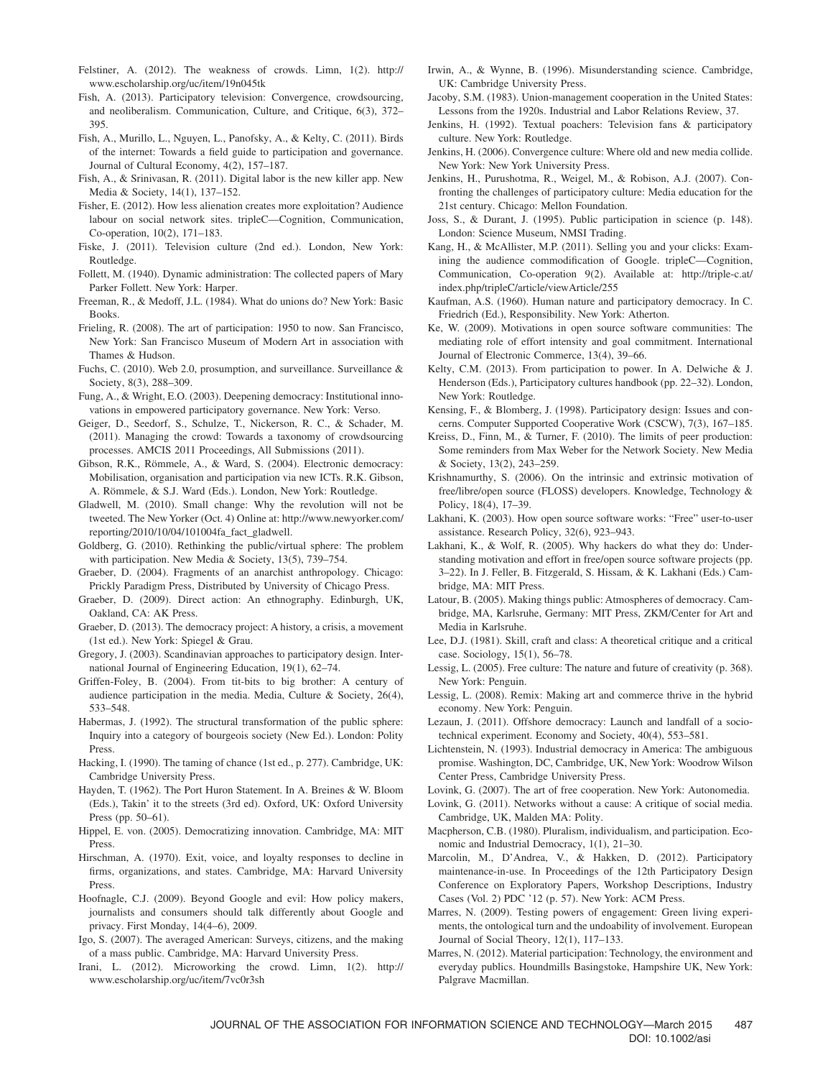- Felstiner, A. (2012). The weakness of crowds. Limn, 1(2). [http://](http://www.escholarship.org/uc/item/19n045tk) [www.escholarship.org/uc/item/19n045tk](http://www.escholarship.org/uc/item/19n045tk)
- Fish, A. (2013). Participatory television: Convergence, crowdsourcing, and neoliberalism. Communication, Culture, and Critique, 6(3), 372– 395.
- Fish, A., Murillo, L., Nguyen, L., Panofsky, A., & Kelty, C. (2011). Birds of the internet: Towards a field guide to participation and governance. Journal of Cultural Economy, 4(2), 157–187.
- Fish, A., & Srinivasan, R. (2011). Digital labor is the new killer app. New Media & Society, 14(1), 137–152.
- Fisher, E. (2012). How less alienation creates more exploitation? Audience labour on social network sites. tripleC—Cognition, Communication, Co-operation, 10(2), 171–183.
- Fiske, J. (2011). Television culture (2nd ed.). London, New York: Routledge.
- Follett, M. (1940). Dynamic administration: The collected papers of Mary Parker Follett. New York: Harper.
- Freeman, R., & Medoff, J.L. (1984). What do unions do? New York: Basic Books.
- Frieling, R. (2008). The art of participation: 1950 to now. San Francisco, New York: San Francisco Museum of Modern Art in association with Thames & Hudson.
- Fuchs, C. (2010). Web 2.0, prosumption, and surveillance. Surveillance & Society, 8(3), 288–309.
- Fung, A., & Wright, E.O. (2003). Deepening democracy: Institutional innovations in empowered participatory governance. New York: Verso.
- Geiger, D., Seedorf, S., Schulze, T., Nickerson, R. C., & Schader, M. (2011). Managing the crowd: Towards a taxonomy of crowdsourcing processes. AMCIS 2011 Proceedings, All Submissions (2011).
- Gibson, R.K., Römmele, A., & Ward, S. (2004). Electronic democracy: Mobilisation, organisation and participation via new ICTs. R.K. Gibson, A. Römmele, & S.J. Ward (Eds.). London, New York: Routledge.
- Gladwell, M. (2010). Small change: Why the revolution will not be tweeted. The New Yorker (Oct. 4) Online at: [http://www.newyorker.com/](http://www.newyorker.com/reporting/2010/10/04/101004fa_fact_gladwell) [reporting/2010/10/04/101004fa\\_fact\\_gladwell.](http://www.newyorker.com/reporting/2010/10/04/101004fa_fact_gladwell)
- Goldberg, G. (2010). Rethinking the public/virtual sphere: The problem with participation. New Media & Society, 13(5), 739–754.
- Graeber, D. (2004). Fragments of an anarchist anthropology. Chicago: Prickly Paradigm Press, Distributed by University of Chicago Press.
- Graeber, D. (2009). Direct action: An ethnography. Edinburgh, UK, Oakland, CA: AK Press.
- Graeber, D. (2013). The democracy project: A history, a crisis, a movement (1st ed.). New York: Spiegel & Grau.
- Gregory, J. (2003). Scandinavian approaches to participatory design. International Journal of Engineering Education, 19(1), 62–74.
- Griffen-Foley, B. (2004). From tit-bits to big brother: A century of audience participation in the media. Media, Culture & Society, 26(4), 533–548.
- Habermas, J. (1992). The structural transformation of the public sphere: Inquiry into a category of bourgeois society (New Ed.). London: Polity Press.
- Hacking, I. (1990). The taming of chance (1st ed., p. 277). Cambridge, UK: Cambridge University Press.
- Hayden, T. (1962). The Port Huron Statement. In A. Breines & W. Bloom (Eds.), Takin' it to the streets (3rd ed). Oxford, UK: Oxford University Press (pp. 50–61).
- Hippel, E. von. (2005). Democratizing innovation. Cambridge, MA: MIT Press.
- Hirschman, A. (1970). Exit, voice, and loyalty responses to decline in firms, organizations, and states. Cambridge, MA: Harvard University Press.
- Hoofnagle, C.J. (2009). Beyond Google and evil: How policy makers, journalists and consumers should talk differently about Google and privacy. First Monday, 14(4–6), 2009.
- Igo, S. (2007). The averaged American: Surveys, citizens, and the making of a mass public. Cambridge, MA: Harvard University Press.
- Irani, L. (2012). Microworking the crowd. Limn, 1(2). [http://](http://www.escholarship.org/uc/item/7vc0r3sh) [www.escholarship.org/uc/item/7vc0r3sh](http://www.escholarship.org/uc/item/7vc0r3sh)
- Irwin, A., & Wynne, B. (1996). Misunderstanding science. Cambridge, UK: Cambridge University Press.
- Jacoby, S.M. (1983). Union-management cooperation in the United States: Lessons from the 1920s. Industrial and Labor Relations Review, 37.
- Jenkins, H. (1992). Textual poachers: Television fans & participatory culture. New York: Routledge.
- Jenkins, H. (2006). Convergence culture: Where old and new media collide. New York: New York University Press.
- Jenkins, H., Purushotma, R., Weigel, M., & Robison, A.J. (2007). Confronting the challenges of participatory culture: Media education for the 21st century. Chicago: Mellon Foundation.
- Joss, S., & Durant, J. (1995). Public participation in science (p. 148). London: Science Museum, NMSI Trading.
- Kang, H., & McAllister, M.P. (2011). Selling you and your clicks: Examining the audience commodification of Google. tripleC—Cognition, Communication, Co-operation 9(2). Available at: [http://triple-c.at/](http://triple-c.at/index.php/tripleC/article/viewArticle/255) [index.php/tripleC/article/viewArticle/255](http://triple-c.at/index.php/tripleC/article/viewArticle/255)
- Kaufman, A.S. (1960). Human nature and participatory democracy. In C. Friedrich (Ed.), Responsibility. New York: Atherton.
- Ke, W. (2009). Motivations in open source software communities: The mediating role of effort intensity and goal commitment. International Journal of Electronic Commerce, 13(4), 39–66.
- Kelty, C.M. (2013). From participation to power. In A. Delwiche & J. Henderson (Eds.), Participatory cultures handbook (pp. 22–32). London, New York: Routledge.
- Kensing, F., & Blomberg, J. (1998). Participatory design: Issues and concerns. Computer Supported Cooperative Work (CSCW), 7(3), 167–185.
- Kreiss, D., Finn, M., & Turner, F. (2010). The limits of peer production: Some reminders from Max Weber for the Network Society. New Media & Society, 13(2), 243–259.
- Krishnamurthy, S. (2006). On the intrinsic and extrinsic motivation of free/libre/open source (FLOSS) developers. Knowledge, Technology & Policy, 18(4), 17–39.
- Lakhani, K. (2003). How open source software works: "Free" user-to-user assistance. Research Policy, 32(6), 923–943.
- Lakhani, K., & Wolf, R. (2005). Why hackers do what they do: Understanding motivation and effort in free/open source software projects (pp. 3–22). In J. Feller, B. Fitzgerald, S. Hissam, & K. Lakhani (Eds.) Cambridge, MA: MIT Press.
- Latour, B. (2005). Making things public: Atmospheres of democracy. Cambridge, MA, Karlsruhe, Germany: MIT Press, ZKM/Center for Art and Media in Karlsruhe.
- Lee, D.J. (1981). Skill, craft and class: A theoretical critique and a critical case. Sociology, 15(1), 56–78.
- Lessig, L. (2005). Free culture: The nature and future of creativity (p. 368). New York: Penguin.
- Lessig, L. (2008). Remix: Making art and commerce thrive in the hybrid economy. New York: Penguin.
- Lezaun, J. (2011). Offshore democracy: Launch and landfall of a sociotechnical experiment. Economy and Society, 40(4), 553–581.
- Lichtenstein, N. (1993). Industrial democracy in America: The ambiguous promise. Washington, DC, Cambridge, UK, New York: Woodrow Wilson Center Press, Cambridge University Press.
- Lovink, G. (2007). The art of free cooperation. New York: Autonomedia.
- Lovink, G. (2011). Networks without a cause: A critique of social media. Cambridge, UK, Malden MA: Polity.
- Macpherson, C.B. (1980). Pluralism, individualism, and participation. Economic and Industrial Democracy, 1(1), 21–30.
- Marcolin, M., D'Andrea, V., & Hakken, D. (2012). Participatory maintenance-in-use. In Proceedings of the 12th Participatory Design Conference on Exploratory Papers, Workshop Descriptions, Industry Cases (Vol. 2) PDC '12 (p. 57). New York: ACM Press.
- Marres, N. (2009). Testing powers of engagement: Green living experiments, the ontological turn and the undoability of involvement. European Journal of Social Theory, 12(1), 117–133.
- Marres, N. (2012). Material participation: Technology, the environment and everyday publics. Houndmills Basingstoke, Hampshire UK, New York: Palgrave Macmillan.